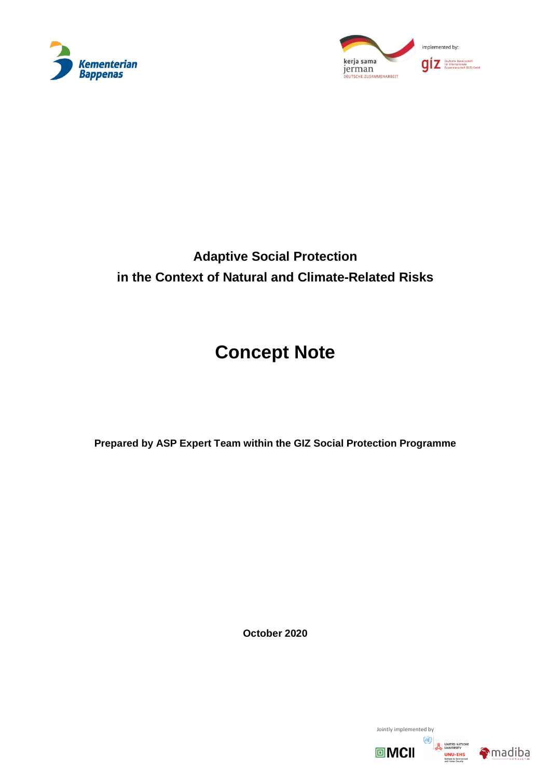



## **Adaptive Social Protection in the Context of Natural and Climate-Related Risks**

# **Concept Note**

**Prepared by ASP Expert Team within the GIZ Social Protection Programme**

**October 2020**

Jointly implemented by  $\omega$ 回MCII



UNITED NATIONS<br>UNIVERSITY<br>UNU-EHS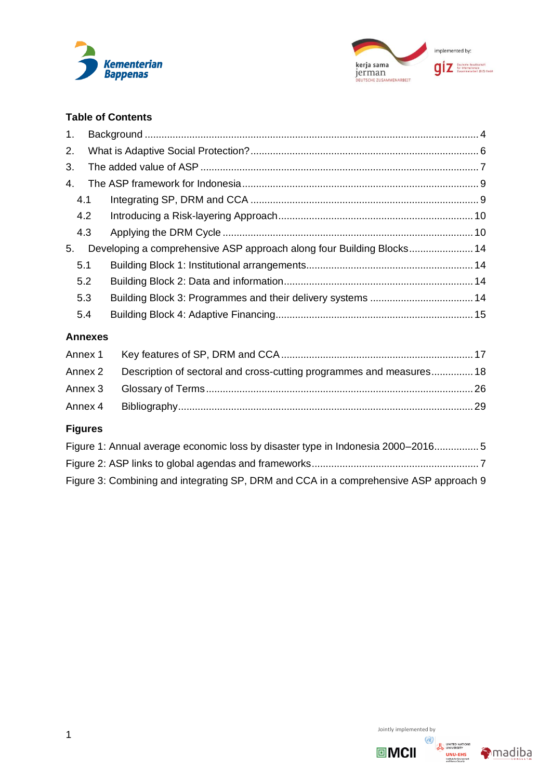



## **Table of Contents**

| 1.                 |                |                                                                                 |  |
|--------------------|----------------|---------------------------------------------------------------------------------|--|
| 2.                 |                |                                                                                 |  |
| 3.                 |                |                                                                                 |  |
| $\mathbf{4}$ .     |                |                                                                                 |  |
| 4.1                |                |                                                                                 |  |
| 4.2                |                |                                                                                 |  |
| 4.3                |                |                                                                                 |  |
| 5.                 |                | Developing a comprehensive ASP approach along four Building Blocks 14           |  |
| 5.1                |                |                                                                                 |  |
| 5.2                |                |                                                                                 |  |
| 5.3                |                |                                                                                 |  |
| 5.4                |                |                                                                                 |  |
|                    | <b>Annexes</b> |                                                                                 |  |
| Annex 1            |                |                                                                                 |  |
| Annex <sub>2</sub> |                | Description of sectoral and cross-cutting programmes and measures 18            |  |
| Annex 3            |                |                                                                                 |  |
| Annex 4            |                |                                                                                 |  |
| <b>Figures</b>     |                |                                                                                 |  |
|                    |                | Figure 1: Annual average economic loss by disaster type in Indonesia 2000-20165 |  |
|                    |                |                                                                                 |  |

[Figure 3: Combining and integrating SP, DRM and CCA in a comprehensive ASP approach](#page-9-2) 9

Jointly implemented by



UNITED NATIONS<br>UNIVERSITY<br>UNU-EHS<br>Instant for Environment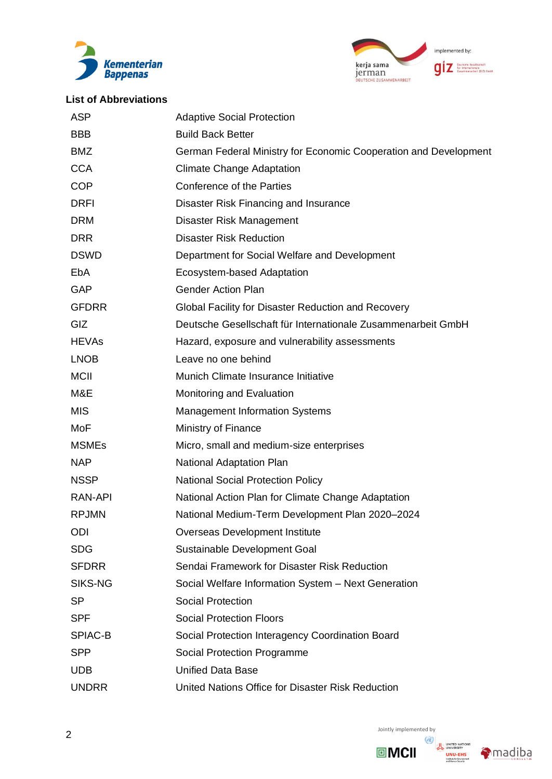



## **List of Abbreviations**

| <b>ASP</b>   | <b>Adaptive Social Protection</b>                                |
|--------------|------------------------------------------------------------------|
| <b>BBB</b>   | <b>Build Back Better</b>                                         |
| <b>BMZ</b>   | German Federal Ministry for Economic Cooperation and Development |
| <b>CCA</b>   | <b>Climate Change Adaptation</b>                                 |
| <b>COP</b>   | Conference of the Parties                                        |
| <b>DRFI</b>  | Disaster Risk Financing and Insurance                            |
| <b>DRM</b>   | Disaster Risk Management                                         |
| <b>DRR</b>   | <b>Disaster Risk Reduction</b>                                   |
| <b>DSWD</b>  | Department for Social Welfare and Development                    |
| EbA          | Ecosystem-based Adaptation                                       |
| <b>GAP</b>   | <b>Gender Action Plan</b>                                        |
| <b>GFDRR</b> | Global Facility for Disaster Reduction and Recovery              |
| GIZ          | Deutsche Gesellschaft für Internationale Zusammenarbeit GmbH     |
| <b>HEVAs</b> | Hazard, exposure and vulnerability assessments                   |
| <b>LNOB</b>  | Leave no one behind                                              |
| <b>MCII</b>  | Munich Climate Insurance Initiative                              |
| M&E          | Monitoring and Evaluation                                        |
| <b>MIS</b>   | <b>Management Information Systems</b>                            |
| MoF          | Ministry of Finance                                              |
| <b>MSMEs</b> | Micro, small and medium-size enterprises                         |
| <b>NAP</b>   | <b>National Adaptation Plan</b>                                  |
| <b>NSSP</b>  | <b>National Social Protection Policy</b>                         |
| RAN-API      | National Action Plan for Climate Change Adaptation               |
| <b>RPJMN</b> | National Medium-Term Development Plan 2020-2024                  |
| <b>ODI</b>   | Overseas Development Institute                                   |
| <b>SDG</b>   | Sustainable Development Goal                                     |
| <b>SFDRR</b> | Sendai Framework for Disaster Risk Reduction                     |
| SIKS-NG      | Social Welfare Information System - Next Generation              |
| SP           | <b>Social Protection</b>                                         |
| <b>SPF</b>   | <b>Social Protection Floors</b>                                  |
| SPIAC-B      | Social Protection Interagency Coordination Board                 |
| <b>SPP</b>   | Social Protection Programme                                      |
| <b>UDB</b>   | <b>Unified Data Base</b>                                         |
| <b>UNDRR</b> | United Nations Office for Disaster Risk Reduction                |



**回MCII** 

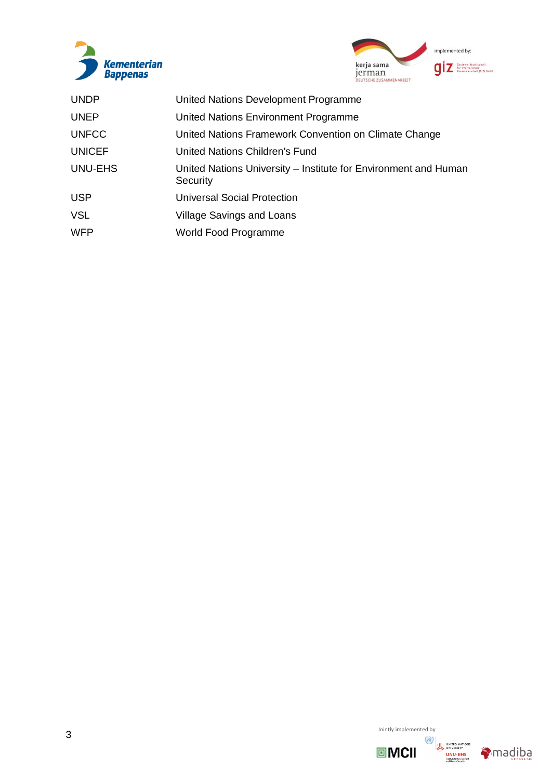



| <b>UNDP</b>    | United Nations Development Programme                                        |
|----------------|-----------------------------------------------------------------------------|
| <b>UNEP</b>    | United Nations Environment Programme                                        |
| <b>UNFCC</b>   | United Nations Framework Convention on Climate Change                       |
| <b>UNICEF</b>  | United Nations Children's Fund                                              |
| <b>UNU-EHS</b> | United Nations University – Institute for Environment and Human<br>Security |
| <b>USP</b>     | <b>Universal Social Protection</b>                                          |
| <b>VSL</b>     | <b>Village Savings and Loans</b>                                            |
| <b>WFP</b>     | World Food Programme                                                        |





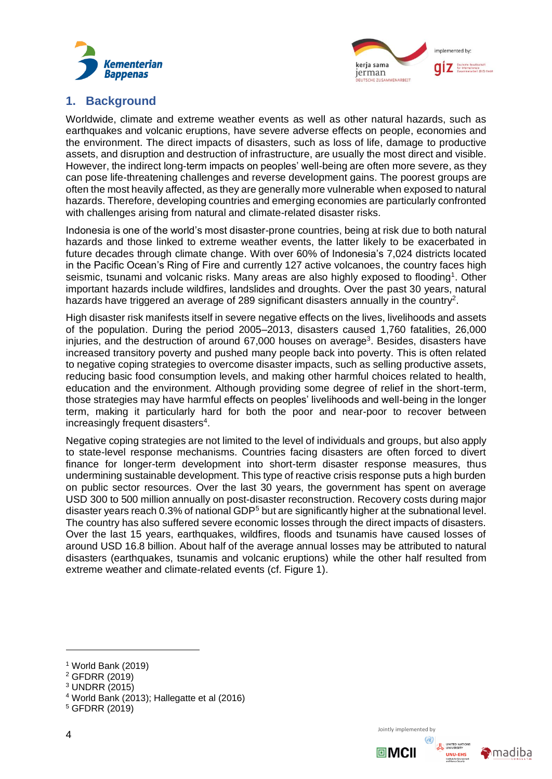



## <span id="page-4-0"></span>**1. Background**

Worldwide, climate and extreme weather events as well as other natural hazards, such as earthquakes and volcanic eruptions, have severe adverse effects on people, economies and the environment. The direct impacts of disasters, such as loss of life, damage to productive assets, and disruption and destruction of infrastructure, are usually the most direct and visible. However, the indirect long-term impacts on peoples' well-being are often more severe, as they can pose life-threatening challenges and reverse development gains. The poorest groups are often the most heavily affected, as they are generally more vulnerable when exposed to natural hazards. Therefore, developing countries and emerging economies are particularly confronted with challenges arising from natural and climate-related disaster risks.

Indonesia is one of the world's most disaster-prone countries, being at risk due to both natural hazards and those linked to extreme weather events, the latter likely to be exacerbated in future decades through climate change. With over 60% of Indonesia's 7,024 districts located in the Pacific Ocean's Ring of Fire and currently 127 active volcanoes, the country faces high seismic, tsunami and volcanic risks. Many areas are also highly exposed to flooding<sup>1</sup>. Other important hazards include wildfires, landslides and droughts. Over the past 30 years, natural hazards have triggered an average of 289 significant disasters annually in the country<sup>2</sup>.

High disaster risk manifests itself in severe negative effects on the lives, livelihoods and assets of the population. During the period 2005–2013, disasters caused 1,760 fatalities, 26,000 injuries, and the destruction of around 67,000 houses on average<sup>3</sup>. Besides, disasters have increased transitory poverty and pushed many people back into poverty. This is often related to negative coping strategies to overcome disaster impacts, such as selling productive assets, reducing basic food consumption levels, and making other harmful choices related to health, education and the environment. Although providing some degree of relief in the short-term, those strategies may have harmful effects on peoples' livelihoods and well-being in the longer term, making it particularly hard for both the poor and near-poor to recover between increasingly frequent disasters<sup>4</sup>.

Negative coping strategies are not limited to the level of individuals and groups, but also apply to state-level response mechanisms. Countries facing disasters are often forced to divert finance for longer-term development into short-term disaster response measures, thus undermining sustainable development. This type of reactive crisis response puts a high burden on public sector resources. Over the last 30 years, the government has spent on average USD 300 to 500 million annually on post-disaster reconstruction. Recovery costs during major disaster years reach 0.3% of national GDP<sup>5</sup> but are significantly higher at the subnational level. The country has also suffered severe economic losses through the direct impacts of disasters. Over the last 15 years, earthquakes, wildfires, floods and tsunamis have caused losses of around USD 16.8 billion. About half of the average annual losses may be attributed to natural disasters (earthquakes, tsunamis and volcanic eruptions) while the other half resulted from extreme weather and climate-related events (cf. [Figure 1\)](#page-4-1).





<span id="page-4-1"></span><sup>1</sup> World Bank (2019)

<sup>2</sup> GFDRR (2019)

<sup>3</sup> UNDRR (2015)

<sup>4</sup> World Bank (2013); Hallegatte et al (2016)

<sup>5</sup> GFDRR (2019)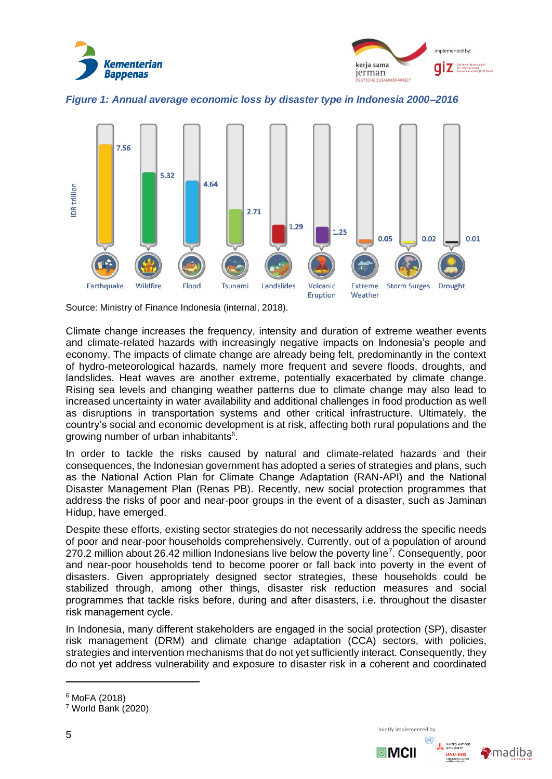



*Figure 1: Annual average economic loss by disaster type in Indonesia 2000–2016*

<span id="page-5-0"></span>

Source: Ministry of Finance Indonesia (internal, 2018).

Climate change increases the frequency, intensity and duration of extreme weather events and climate-related hazards with increasingly negative impacts on Indonesia's people and economy. The impacts of climate change are already being felt, predominantly in the context of hydro-meteorological hazards, namely more frequent and severe floods, droughts, and landslides. Heat waves are another extreme, potentially exacerbated by climate change. Rising sea levels and changing weather patterns due to climate change may also lead to increased uncertainty in water availability and additional challenges in food production as well as disruptions in transportation systems and other critical infrastructure. Ultimately, the country's social and economic development is at risk, affecting both rural populations and the growing number of urban inhabitants<sup>6</sup>.

In order to tackle the risks caused by natural and climate-related hazards and their consequences, the Indonesian government has adopted a series of strategies and plans, such as the National Action Plan for Climate Change Adaptation (RAN-API) and the National Disaster Management Plan (Renas PB). Recently, new social protection programmes that address the risks of poor and near-poor groups in the event of a disaster, such as Jaminan Hidup, have emerged.

Despite these efforts, existing sector strategies do not necessarily address the specific needs of poor and near-poor households comprehensively. Currently, out of a population of around 270.2 million about 26.42 million Indonesians live below the poverty line<sup>7</sup>. Consequently, poor and near-poor households tend to become poorer or fall back into poverty in the event of disasters. Given appropriately designed sector strategies, these households could be stabilized through, among other things, disaster risk reduction measures and social programmes that tackle risks before, during and after disasters, i.e. throughout the disaster risk management cycle.

In Indonesia, many different stakeholders are engaged in the social protection (SP), disaster risk management (DRM) and climate change adaptation (CCA) sectors, with policies, strategies and intervention mechanisms that do not yet sufficiently interact. Consequently, they do not yet address vulnerability and exposure to disaster risk in a coherent and coordinated

<sup>6</sup> MoFA (2018)

 $7$  World Bank (2020)

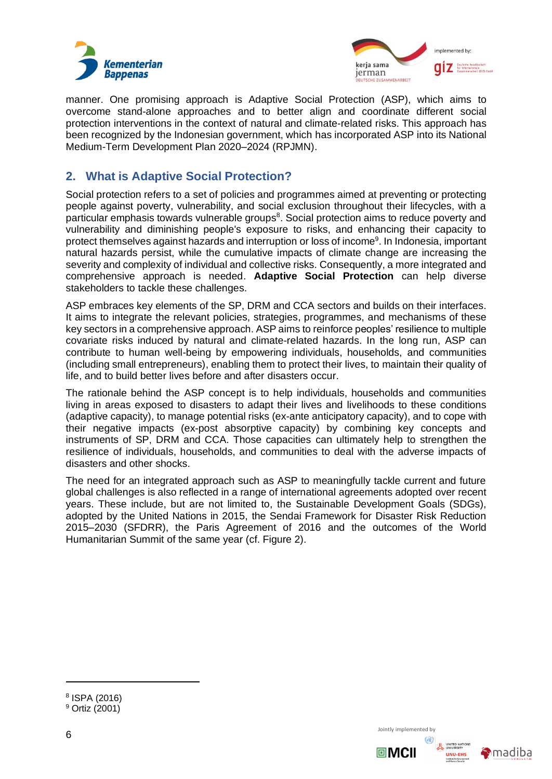



manner. One promising approach is Adaptive Social Protection (ASP), which aims to overcome stand-alone approaches and to better align and coordinate different social protection interventions in the context of natural and climate-related risks. This approach has been recognized by the Indonesian government, which has incorporated ASP into its National Medium-Term Development Plan 2020–2024 (RPJMN).

## <span id="page-6-0"></span>**2. What is Adaptive Social Protection?**

Social protection refers to a set of policies and programmes aimed at preventing or protecting people against poverty, vulnerability, and social exclusion throughout their lifecycles, with a particular emphasis towards vulnerable groups<sup>8</sup>. Social protection aims to reduce poverty and vulnerability and diminishing people's exposure to risks, and enhancing their capacity to protect themselves against hazards and interruption or loss of income<sup>9</sup>. In Indonesia, important natural hazards persist, while the cumulative impacts of climate change are increasing the severity and complexity of individual and collective risks. Consequently, a more integrated and comprehensive approach is needed. **Adaptive Social Protection** can help diverse stakeholders to tackle these challenges.

ASP embraces key elements of the SP, DRM and CCA sectors and builds on their interfaces. It aims to integrate the relevant policies, strategies, programmes, and mechanisms of these key sectors in a comprehensive approach. ASP aims to reinforce peoples' resilience to multiple covariate risks induced by natural and climate-related hazards. In the long run, ASP can contribute to human well-being by empowering individuals, households, and communities (including small entrepreneurs), enabling them to protect their lives, to maintain their quality of life, and to build better lives before and after disasters occur.

The rationale behind the ASP concept is to help individuals, households and communities living in areas exposed to disasters to adapt their lives and livelihoods to these conditions (adaptive capacity), to manage potential risks (ex-ante anticipatory capacity), and to cope with their negative impacts (ex-post absorptive capacity) by combining key concepts and instruments of SP, DRM and CCA. Those capacities can ultimately help to strengthen the resilience of individuals, households, and communities to deal with the adverse impacts of disasters and other shocks.

The need for an integrated approach such as ASP to meaningfully tackle current and future global challenges is also reflected in a range of international agreements adopted over recent years. These include, but are not limited to, the Sustainable Development Goals (SDGs), adopted by the United Nations in 2015, the Sendai Framework for Disaster Risk Reduction 2015–2030 (SFDRR), the Paris Agreement of 2016 and the outcomes of the World Humanitarian Summit of the same year (cf. [Figure](#page-7-1) 2).



Jointly implemented by



<sup>8</sup> ISPA (2016) <sup>9</sup> Ortiz (2001)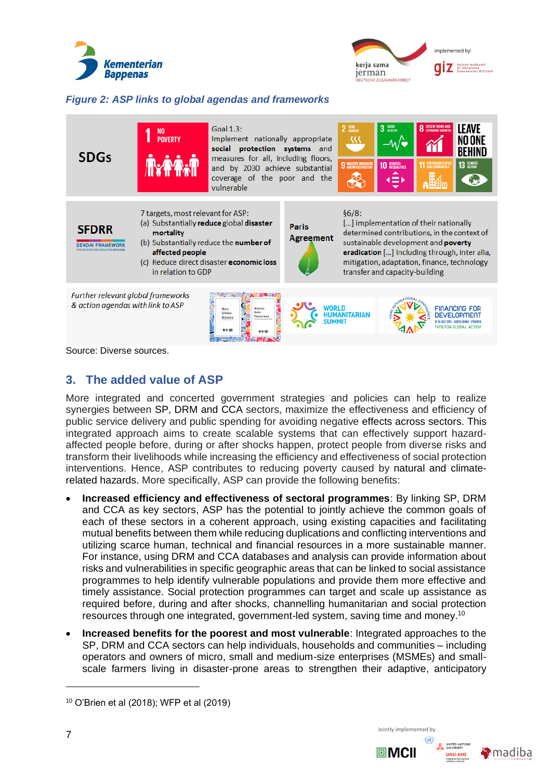



## <span id="page-7-1"></span>*Figure 2: ASP links to global agendas and frameworks*

| <b>SDGs</b>                                                                                                                                                                                | N <sub>0</sub><br><b>POVERTY</b>                                                                                                                                                                                          | Goal 1.3:<br>Implement nationally appropriate<br>social protection systems and<br>measures for all, including floors,<br>and by 2030 achieve substantial<br>coverage of the poor and the<br>vulnerable |                                  | $2$ $\frac{200}{HOMGER}$<br>32 | $3 \frac{6000}{MEAHH}$<br><b>10 REDUCED</b><br>$\Rightarrow$ | <b>8</b> DECENT WORK AND                                                                                                                                                                                                    | <b>LEAVE</b><br>NO ONE<br>13 GLIMATE |
|--------------------------------------------------------------------------------------------------------------------------------------------------------------------------------------------|---------------------------------------------------------------------------------------------------------------------------------------------------------------------------------------------------------------------------|--------------------------------------------------------------------------------------------------------------------------------------------------------------------------------------------------------|----------------------------------|--------------------------------|--------------------------------------------------------------|-----------------------------------------------------------------------------------------------------------------------------------------------------------------------------------------------------------------------------|--------------------------------------|
| <b>SFDRR</b>                                                                                                                                                                               | 7 targets, most relevant for ASP:<br>(a) Substantially reduce global disaster<br>mortality<br>(b) Substantially reduce the number of<br>affected people<br>(c) Reduce direct disaster economic loss<br>in relation to GDP |                                                                                                                                                                                                        | <b>Paris</b><br><b>Agreement</b> | §6/8:                          | transfer and capacity-building                               | [] implementation of their nationally<br>determined contributions, in the context of<br>sustainable development and poverty<br>eradication [] including through, inter alia,<br>mitigation, adaptation, finance, technology |                                      |
| Further relevant global frameworks<br>& action agendas with link to ASP<br>WORLD<br>FINANCING FOR<br><b>AGENDA</b><br>NEW<br>BARU<br>Ussan<br><b>DEVELOP</b><br>PERKOTAAN<br><b>AGENDA</b> |                                                                                                                                                                                                                           |                                                                                                                                                                                                        |                                  |                                |                                                              |                                                                                                                                                                                                                             |                                      |

Source: Diverse sources.

## <span id="page-7-0"></span>**3. The added value of ASP**

More integrated and concerted government strategies and policies can help to realize synergies between SP, DRM and CCA sectors, maximize the effectiveness and efficiency of public service delivery and public spending for avoiding negative effects across sectors. This integrated approach aims to create scalable systems that can effectively support hazardaffected people before, during or after shocks happen, protect people from diverse risks and transform their livelihoods while increasing the efficiency and effectiveness of social protection interventions. Hence, ASP contributes to reducing poverty caused by natural and climaterelated hazards. More specifically, ASP can provide the following benefits:

- **Increased efficiency and effectiveness of sectoral programmes**: By linking SP, DRM and CCA as key sectors, ASP has the potential to jointly achieve the common goals of each of these sectors in a coherent approach, using existing capacities and facilitating mutual benefits between them while reducing duplications and conflicting interventions and utilizing scarce human, technical and financial resources in a more sustainable manner. For instance, using DRM and CCA databases and analysis can provide information about risks and vulnerabilities in specific geographic areas that can be linked to social assistance programmes to help identify vulnerable populations and provide them more effective and timely assistance. Social protection programmes can target and scale up assistance as required before, during and after shocks, channelling humanitarian and social protection resources through one integrated, government-led system, saving time and money.<sup>10</sup>
- **Increased benefits for the poorest and most vulnerable**: Integrated approaches to the SP, DRM and CCA sectors can help individuals, households and communities – including operators and owners of micro, small and medium-size enterprises (MSMEs) and smallscale farmers living in disaster-prone areas to strengthen their adaptive, anticipatory



Jointly implemented by



<sup>10</sup> O'Brien et al (2018); WFP et al (2019)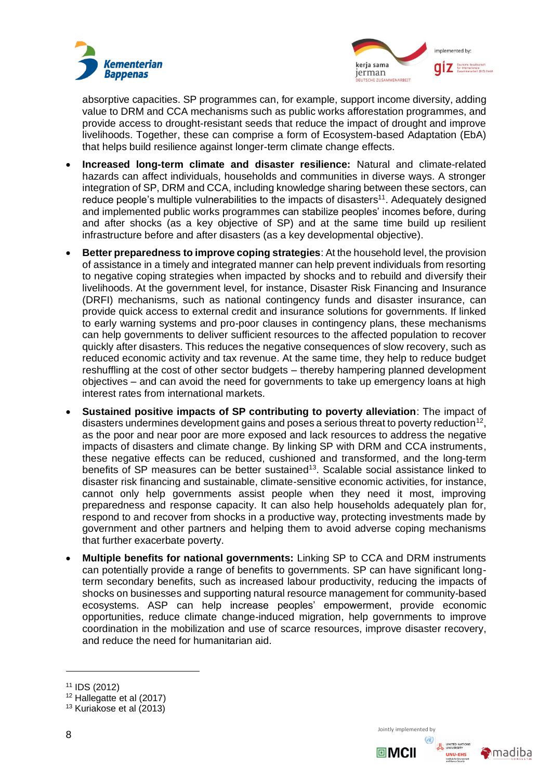



absorptive capacities. SP programmes can, for example, support income diversity, adding value to DRM and CCA mechanisms such as public works afforestation programmes, and provide access to drought-resistant seeds that reduce the impact of drought and improve livelihoods. Together, these can comprise a form of Ecosystem-based Adaptation (EbA) that helps build resilience against longer-term climate change effects.

- **Increased long-term climate and disaster resilience:** Natural and climate-related hazards can affect individuals, households and communities in diverse ways. A stronger integration of SP, DRM and CCA, including knowledge sharing between these sectors, can reduce people's multiple vulnerabilities to the impacts of disasters<sup>11</sup>. Adequately designed and implemented public works programmes can stabilize peoples' incomes before, during and after shocks (as a key objective of SP) and at the same time build up resilient infrastructure before and after disasters (as a key developmental objective).
- **Better preparedness to improve coping strategies**: At the household level, the provision of assistance in a timely and integrated manner can help prevent individuals from resorting to negative coping strategies when impacted by shocks and to rebuild and diversify their livelihoods. At the government level, for instance, Disaster Risk Financing and Insurance (DRFI) mechanisms, such as national contingency funds and disaster insurance, can provide quick access to external credit and insurance solutions for governments. If linked to early warning systems and pro-poor clauses in contingency plans, these mechanisms can help governments to deliver sufficient resources to the affected population to recover quickly after disasters. This reduces the negative consequences of slow recovery, such as reduced economic activity and tax revenue. At the same time, they help to reduce budget reshuffling at the cost of other sector budgets – thereby hampering planned development objectives – and can avoid the need for governments to take up emergency loans at high interest rates from international markets.
- **Sustained positive impacts of SP contributing to poverty alleviation**: The impact of disasters undermines development gains and poses a serious threat to poverty reduction<sup>12</sup>, as the poor and near poor are more exposed and lack resources to address the negative impacts of disasters and climate change. By linking SP with DRM and CCA instruments, these negative effects can be reduced, cushioned and transformed, and the long-term benefits of SP measures can be better sustained<sup>13</sup>. Scalable social assistance linked to disaster risk financing and sustainable, climate-sensitive economic activities, for instance, cannot only help governments assist people when they need it most, improving preparedness and response capacity. It can also help households adequately plan for, respond to and recover from shocks in a productive way, protecting investments made by government and other partners and helping them to avoid adverse coping mechanisms that further exacerbate poverty.
- **Multiple benefits for national governments:** Linking SP to CCA and DRM instruments can potentially provide a range of benefits to governments. SP can have significant longterm secondary benefits, such as increased labour productivity, reducing the impacts of shocks on businesses and supporting natural resource management for community-based ecosystems. ASP can help increase peoples' empowerment, provide economic opportunities, reduce climate change-induced migration, help governments to improve coordination in the mobilization and use of scarce resources, improve disaster recovery, and reduce the need for humanitarian aid.



<sup>11</sup> IDS (2012)

<sup>12</sup> Hallegatte et al (2017)

<sup>13</sup> Kuriakose et al (2013)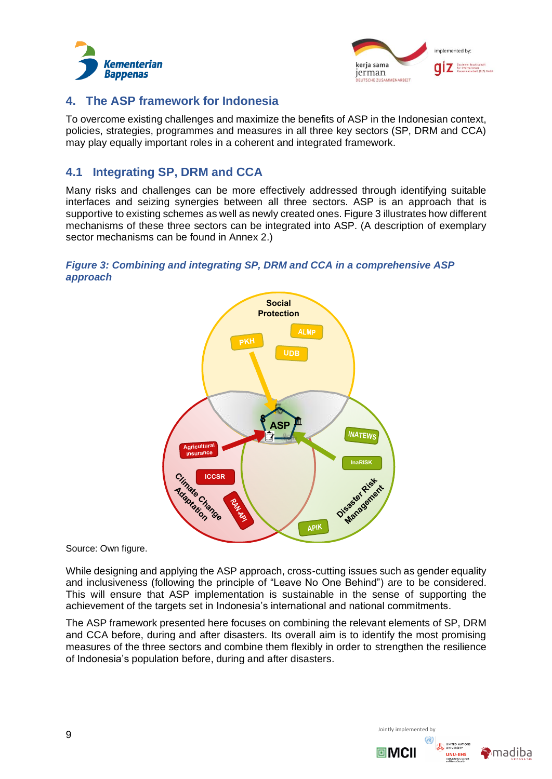



## <span id="page-9-0"></span>**4. The ASP framework for Indonesia**

To overcome existing challenges and maximize the benefits of ASP in the Indonesian context, policies, strategies, programmes and measures in all three key sectors (SP, DRM and CCA) may play equally important roles in a coherent and integrated framework.

## <span id="page-9-1"></span>**4.1 Integrating SP, DRM and CCA**

Many risks and challenges can be more effectively addressed through identifying suitable interfaces and seizing synergies between all three sectors. ASP is an approach that is supportive to existing schemes as well as newly created ones. Figure 3 illustrates how different mechanisms of these three sectors can be integrated into ASP. (A description of exemplary sector mechanisms can be found in Annex 2.)

## <span id="page-9-2"></span>*Figure 3: Combining and integrating SP, DRM and CCA in a comprehensive ASP approach*



Source: Own figure.

While designing and applying the ASP approach, cross-cutting issues such as gender equality and inclusiveness (following the principle of "Leave No One Behind") are to be considered. This will ensure that ASP implementation is sustainable in the sense of supporting the achievement of the targets set in Indonesia's international and national commitments.

The ASP framework presented here focuses on combining the relevant elements of SP, DRM and CCA before, during and after disasters. Its overall aim is to identify the most promising measures of the three sectors and combine them flexibly in order to strengthen the resilience of Indonesia's population before, during and after disasters.



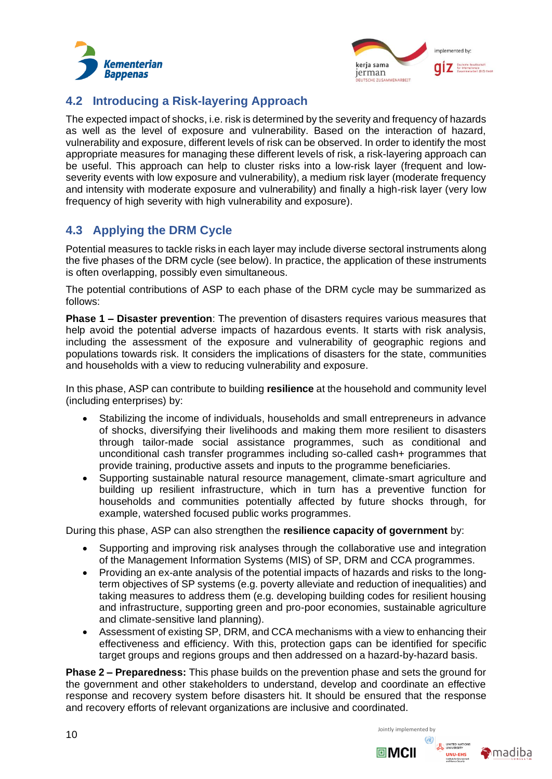



## <span id="page-10-0"></span>**4.2 Introducing a Risk-layering Approach**

The expected impact of shocks, i.e. risk is determined by the severity and frequency of hazards as well as the level of exposure and vulnerability. Based on the interaction of hazard, vulnerability and exposure, different levels of risk can be observed. In order to identify the most appropriate measures for managing these different levels of risk, a risk-layering approach can be useful. This approach can help to cluster risks into a low-risk layer (frequent and lowseverity events with low exposure and vulnerability), a medium risk layer (moderate frequency and intensity with moderate exposure and vulnerability) and finally a high-risk layer (very low frequency of high severity with high vulnerability and exposure).

## <span id="page-10-1"></span>**4.3 Applying the DRM Cycle**

Potential measures to tackle risks in each layer may include diverse sectoral instruments along the five phases of the DRM cycle (see below). In practice, the application of these instruments is often overlapping, possibly even simultaneous.

The potential contributions of ASP to each phase of the DRM cycle may be summarized as follows:

**Phase 1 – Disaster prevention**: The prevention of disasters requires various measures that help avoid the potential adverse impacts of hazardous events. It starts with risk analysis, including the assessment of the exposure and vulnerability of geographic regions and populations towards risk. It considers the implications of disasters for the state, communities and households with a view to reducing vulnerability and exposure.

In this phase, ASP can contribute to building **resilience** at the household and community level (including enterprises) by:

- Stabilizing the income of individuals, households and small entrepreneurs in advance of shocks, diversifying their livelihoods and making them more resilient to disasters through tailor-made social assistance programmes, such as conditional and unconditional cash transfer programmes including so-called cash+ programmes that provide training, productive assets and inputs to the programme beneficiaries.
- Supporting sustainable natural resource management, climate-smart agriculture and building up resilient infrastructure, which in turn has a preventive function for households and communities potentially affected by future shocks through, for example, watershed focused public works programmes.

During this phase, ASP can also strengthen the **resilience capacity of government** by:

- Supporting and improving risk analyses through the collaborative use and integration of the Management Information Systems (MIS) of SP, DRM and CCA programmes.
- Providing an ex-ante analysis of the potential impacts of hazards and risks to the longterm objectives of SP systems (e.g. poverty alleviate and reduction of inequalities) and taking measures to address them (e.g. developing building codes for resilient housing and infrastructure, supporting green and pro-poor economies, sustainable agriculture and climate-sensitive land planning).
- Assessment of existing SP, DRM, and CCA mechanisms with a view to enhancing their effectiveness and efficiency. With this, protection gaps can be identified for specific target groups and regions groups and then addressed on a hazard-by-hazard basis.

**Phase 2 – Preparedness:** This phase builds on the prevention phase and sets the ground for the government and other stakeholders to understand, develop and coordinate an effective response and recovery system before disasters hit. It should be ensured that the response and recovery efforts of relevant organizations are inclusive and coordinated.

 $10$  Jointly implemented by



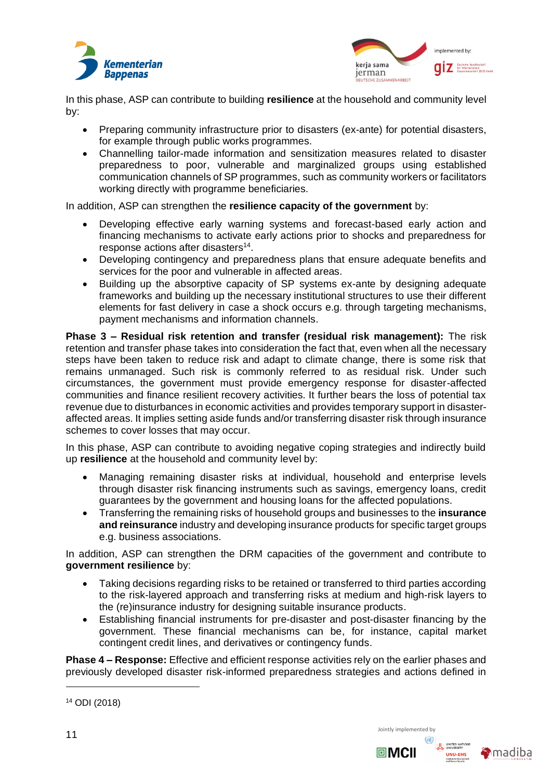



In this phase, ASP can contribute to building **resilience** at the household and community level by:

- Preparing community infrastructure prior to disasters (ex-ante) for potential disasters, for example through public works programmes.
- Channelling tailor-made information and sensitization measures related to disaster preparedness to poor, vulnerable and marginalized groups using established communication channels of SP programmes, such as community workers or facilitators working directly with programme beneficiaries.

In addition, ASP can strengthen the **resilience capacity of the government** by:

- Developing effective early warning systems and forecast-based early action and financing mechanisms to activate early actions prior to shocks and preparedness for response actions after disasters<sup>14</sup>.
- Developing contingency and preparedness plans that ensure adequate benefits and services for the poor and vulnerable in affected areas.
- Building up the absorptive capacity of SP systems ex-ante by designing adequate frameworks and building up the necessary institutional structures to use their different elements for fast delivery in case a shock occurs e.g. through targeting mechanisms, payment mechanisms and information channels.

**Phase 3 – Residual risk retention and transfer (residual risk management):** The risk retention and transfer phase takes into consideration the fact that, even when all the necessary steps have been taken to reduce risk and adapt to climate change, there is some risk that remains unmanaged. Such risk is commonly referred to as residual risk. Under such circumstances, the government must provide emergency response for disaster-affected communities and finance resilient recovery activities. It further bears the loss of potential tax revenue due to disturbances in economic activities and provides temporary support in disasteraffected areas. It implies setting aside funds and/or transferring disaster risk through insurance schemes to cover losses that may occur.

In this phase, ASP can contribute to avoiding negative coping strategies and indirectly build up **resilience** at the household and community level by:

- Managing remaining disaster risks at individual, household and enterprise levels through disaster risk financing instruments such as savings, emergency loans, credit guarantees by the government and housing loans for the affected populations.
- Transferring the remaining risks of household groups and businesses to the **insurance and reinsurance** industry and developing insurance products for specific target groups e.g. business associations.

In addition, ASP can strengthen the DRM capacities of the government and contribute to **government resilience** by:

- Taking decisions regarding risks to be retained or transferred to third parties according to the risk-layered approach and transferring risks at medium and high-risk layers to the (re)insurance industry for designing suitable insurance products.
- Establishing financial instruments for pre-disaster and post-disaster financing by the government. These financial mechanisms can be, for instance, capital market contingent credit lines, and derivatives or contingency funds.

**Phase 4 – Response:** Effective and efficient response activities rely on the earlier phases and previously developed disaster risk-informed preparedness strategies and actions defined in

<sup>14</sup> ODI (2018)



回MCII

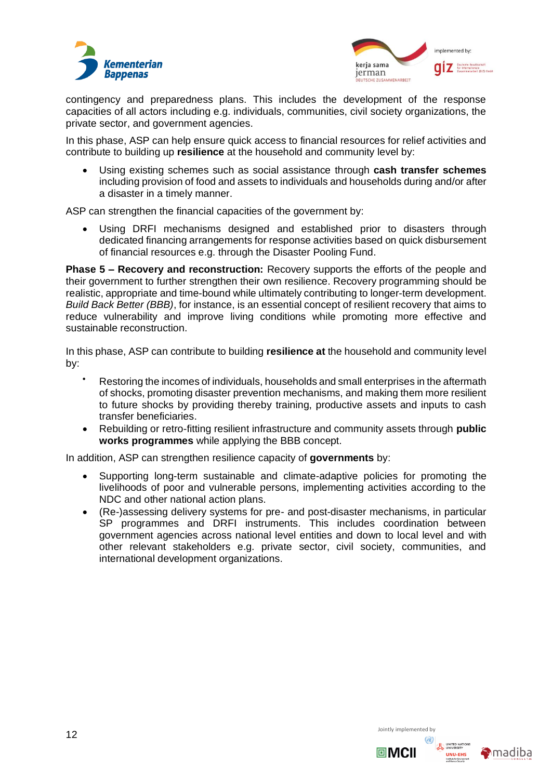



contingency and preparedness plans. This includes the development of the response capacities of all actors including e.g. individuals, communities, civil society organizations, the private sector, and government agencies.

In this phase, ASP can help ensure quick access to financial resources for relief activities and contribute to building up **resilience** at the household and community level by:

• Using existing schemes such as social assistance through **cash transfer schemes**  including provision of food and assets to individuals and households during and/or after a disaster in a timely manner.

ASP can strengthen the financial capacities of the government by:

• Using DRFI mechanisms designed and established prior to disasters through dedicated financing arrangements for response activities based on quick disbursement of financial resources e.g. through the Disaster Pooling Fund.

**Phase 5 – Recovery and reconstruction:** Recovery supports the efforts of the people and their government to further strengthen their own resilience. Recovery programming should be realistic, appropriate and time-bound while ultimately contributing to longer-term development. *Build Back Better (BBB)*, for instance, is an essential concept of resilient recovery that aims to reduce vulnerability and improve living conditions while promoting more effective and sustainable reconstruction.

In this phase, ASP can contribute to building **resilience at** the household and community level by:

- Restoring the incomes of individuals, households and small enterprises in the aftermath of shocks, promoting disaster prevention mechanisms, and making them more resilient to future shocks by providing thereby training, productive assets and inputs to cash transfer beneficiaries.
- Rebuilding or retro-fitting resilient infrastructure and community assets through **public works programmes** while applying the BBB concept.

In addition, ASP can strengthen resilience capacity of **governments** by:

- Supporting long-term sustainable and climate-adaptive policies for promoting the livelihoods of poor and vulnerable persons, implementing activities according to the NDC and other national action plans.
- (Re-)assessing delivery systems for pre- and post-disaster mechanisms, in particular SP programmes and DRFI instruments. This includes coordination between government agencies across national level entities and down to local level and with other relevant stakeholders e.g. private sector, civil society, communities, and international development organizations.

 $12$  Jointly implemented by



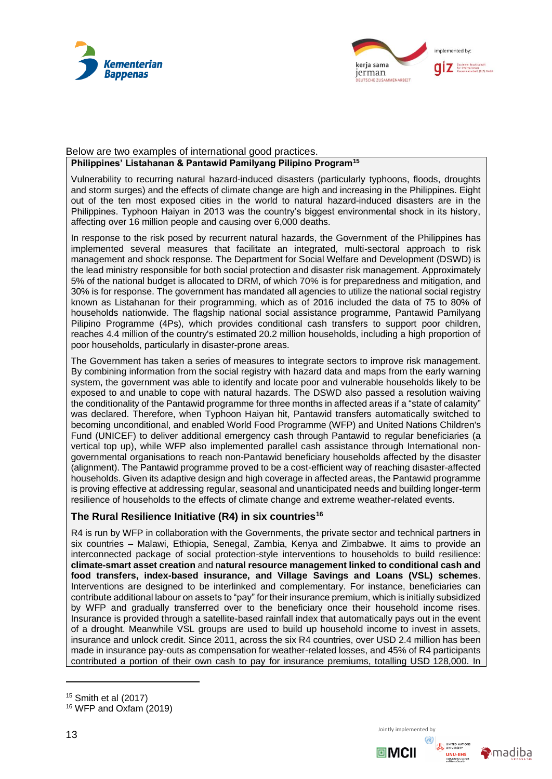



#### Below are two examples of international good practices. **Philippines' Listahanan & Pantawid Pamilyang Pilipino Program<sup>15</sup>**

Vulnerability to recurring natural hazard-induced disasters (particularly typhoons, floods, droughts and storm surges) and the effects of climate change are high and increasing in the Philippines. Eight out of the ten most exposed cities in the world to natural hazard-induced disasters are in the Philippines. Typhoon Haiyan in 2013 was the country's biggest environmental shock in its history, affecting over 16 million people and causing over 6,000 deaths.

In response to the risk posed by recurrent natural hazards, the Government of the Philippines has implemented several measures that facilitate an integrated, multi-sectoral approach to risk management and shock response. The Department for Social Welfare and Development (DSWD) is the lead ministry responsible for both social protection and disaster risk management. Approximately 5% of the national budget is allocated to DRM, of which 70% is for preparedness and mitigation, and 30% is for response. The government has mandated all agencies to utilize the national social registry known as Listahanan for their programming, which as of 2016 included the data of 75 to 80% of households nationwide. The flagship national social assistance programme, Pantawid Pamilyang Pilipino Programme (4Ps), which provides conditional cash transfers to support poor children, reaches 4.4 million of the country's estimated 20.2 million households, including a high proportion of poor households, particularly in disaster-prone areas.

The Government has taken a series of measures to integrate sectors to improve risk management. By combining information from the social registry with hazard data and maps from the early warning system, the government was able to identify and locate poor and vulnerable households likely to be exposed to and unable to cope with natural hazards. The DSWD also passed a resolution waiving the conditionality of the Pantawid programme for three months in affected areas if a "state of calamity" was declared. Therefore, when Typhoon Haiyan hit, Pantawid transfers automatically switched to becoming unconditional, and enabled World Food Programme (WFP) and United Nations Children's Fund (UNICEF) to deliver additional emergency cash through Pantawid to regular beneficiaries (a vertical top up), while WFP also implemented parallel cash assistance through International nongovernmental organisations to reach non-Pantawid beneficiary households affected by the disaster (alignment). The Pantawid programme proved to be a cost-efficient way of reaching disaster-affected households. Given its adaptive design and high coverage in affected areas, the Pantawid programme is proving effective at addressing regular, seasonal and unanticipated needs and building longer-term resilience of households to the effects of climate change and extreme weather-related events.

## **The Rural Resilience Initiative (R4) in six countries<sup>16</sup>**

R4 is run by WFP in collaboration with the Governments, the private sector and technical partners in six countries – Malawi, Ethiopia, Senegal, Zambia, Kenya and Zimbabwe. It aims to provide an interconnected package of social protection-style interventions to households to build resilience: **climate-smart asset creation** and n**atural resource management linked to conditional cash and food transfers, index-based insurance, and Village Savings and Loans (VSL) schemes**. Interventions are designed to be interlinked and complementary. For instance, beneficiaries can contribute additional labour on assets to "pay" for their insurance premium, which is initially subsidized by WFP and gradually transferred over to the beneficiary once their household income rises. Insurance is provided through a satellite-based rainfall index that automatically pays out in the event of a drought. Meanwhile VSL groups are used to build up household income to invest in assets, insurance and unlock credit. Since 2011, across the six R4 countries, over USD 2.4 million has been made in insurance pay-outs as compensation for weather-related losses, and 45% of R4 participants contributed a portion of their own cash to pay for insurance premiums, totalling USD 128,000. In





<sup>15</sup> Smith et al (2017)

<sup>16</sup> WFP and Oxfam (2019)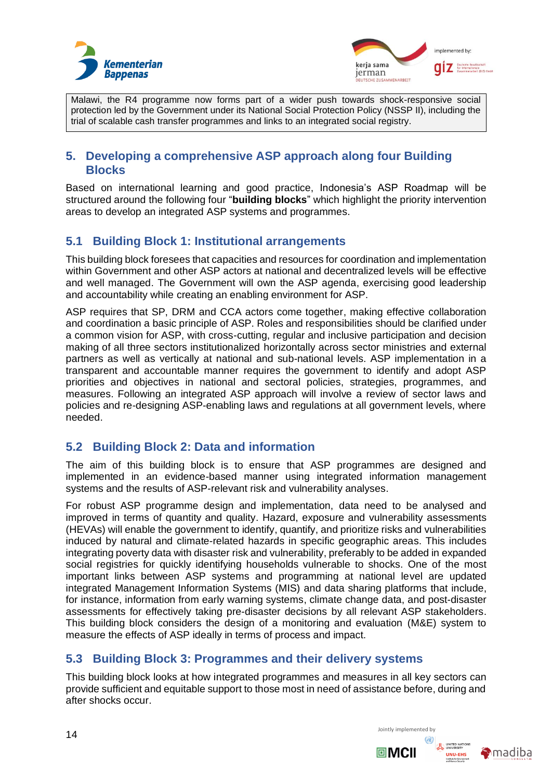



Malawi, the R4 programme now forms part of a wider push towards shock-responsive social protection led by the Government under its National Social Protection Policy (NSSP II), including the trial of scalable cash transfer programmes and links to an integrated social registry.

## <span id="page-14-0"></span>**5. Developing a comprehensive ASP approach along four Building Blocks**

Based on international learning and good practice, Indonesia's ASP Roadmap will be structured around the following four "**building blocks**" which highlight the priority intervention areas to develop an integrated ASP systems and programmes.

## <span id="page-14-1"></span>**5.1 Building Block 1: Institutional arrangements**

This building block foresees that capacities and resources for coordination and implementation within Government and other ASP actors at national and decentralized levels will be effective and well managed. The Government will own the ASP agenda, exercising good leadership and accountability while creating an enabling environment for ASP.

ASP requires that SP, DRM and CCA actors come together, making effective collaboration and coordination a basic principle of ASP. Roles and responsibilities should be clarified under a common vision for ASP, with cross-cutting, regular and inclusive participation and decision making of all three sectors institutionalized horizontally across sector ministries and external partners as well as vertically at national and sub-national levels. ASP implementation in a transparent and accountable manner requires the government to identify and adopt ASP priorities and objectives in national and sectoral policies, strategies, programmes, and measures. Following an integrated ASP approach will involve a review of sector laws and policies and re-designing ASP-enabling laws and regulations at all government levels, where needed.

## <span id="page-14-2"></span>**5.2 Building Block 2: Data and information**

The aim of this building block is to ensure that ASP programmes are designed and implemented in an evidence-based manner using integrated information management systems and the results of ASP-relevant risk and vulnerability analyses.

For robust ASP programme design and implementation, data need to be analysed and improved in terms of quantity and quality. Hazard, exposure and vulnerability assessments (HEVAs) will enable the government to identify, quantify, and prioritize risks and vulnerabilities induced by natural and climate-related hazards in specific geographic areas. This includes integrating poverty data with disaster risk and vulnerability, preferably to be added in expanded social registries for quickly identifying households vulnerable to shocks. One of the most important links between ASP systems and programming at national level are updated integrated Management Information Systems (MIS) and data sharing platforms that include, for instance, information from early warning systems, climate change data, and post-disaster assessments for effectively taking pre-disaster decisions by all relevant ASP stakeholders. This building block considers the design of a monitoring and evaluation (M&E) system to measure the effects of ASP ideally in terms of process and impact.

## <span id="page-14-3"></span>**5.3 Building Block 3: Programmes and their delivery systems**

This building block looks at how integrated programmes and measures in all key sectors can provide sufficient and equitable support to those most in need of assistance before, during and after shocks occur.



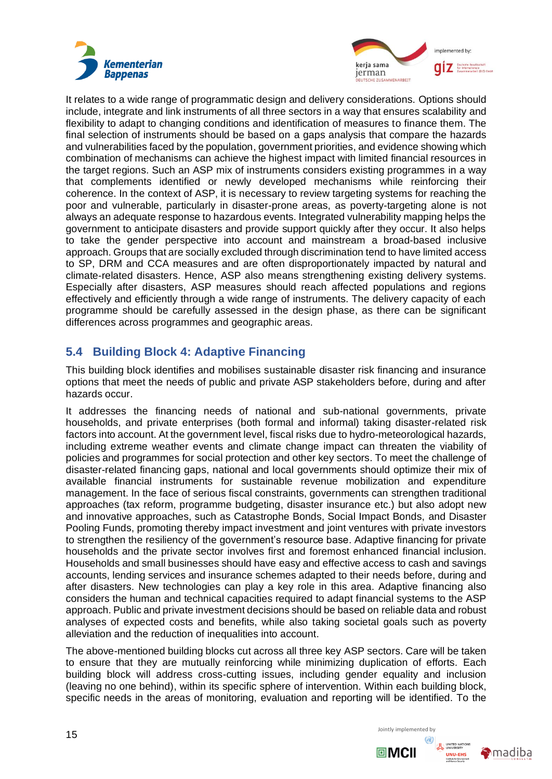



It relates to a wide range of programmatic design and delivery considerations. Options should include, integrate and link instruments of all three sectors in a way that ensures scalability and flexibility to adapt to changing conditions and identification of measures to finance them. The final selection of instruments should be based on a gaps analysis that compare the hazards and vulnerabilities faced by the population, government priorities, and evidence showing which combination of mechanisms can achieve the highest impact with limited financial resources in the target regions. Such an ASP mix of instruments considers existing programmes in a way that complements identified or newly developed mechanisms while reinforcing their coherence. In the context of ASP, it is necessary to review targeting systems for reaching the poor and vulnerable, particularly in disaster-prone areas, as poverty-targeting alone is not always an adequate response to hazardous events. Integrated vulnerability mapping helps the government to anticipate disasters and provide support quickly after they occur. It also helps to take the gender perspective into account and mainstream a broad-based inclusive approach. Groups that are socially excluded through discrimination tend to have limited access to SP, DRM and CCA measures and are often disproportionately impacted by natural and climate-related disasters. Hence, ASP also means strengthening existing delivery systems. Especially after disasters, ASP measures should reach affected populations and regions effectively and efficiently through a wide range of instruments. The delivery capacity of each programme should be carefully assessed in the design phase, as there can be significant differences across programmes and geographic areas.

## <span id="page-15-0"></span>**5.4 Building Block 4: Adaptive Financing**

This building block identifies and mobilises sustainable disaster risk financing and insurance options that meet the needs of public and private ASP stakeholders before, during and after hazards occur.

It addresses the financing needs of national and sub-national governments, private households, and private enterprises (both formal and informal) taking disaster-related risk factors into account. At the government level, fiscal risks due to hydro-meteorological hazards, including extreme weather events and climate change impact can threaten the viability of policies and programmes for social protection and other key sectors. To meet the challenge of disaster-related financing gaps, national and local governments should optimize their mix of available financial instruments for sustainable revenue mobilization and expenditure management. In the face of serious fiscal constraints, governments can strengthen traditional approaches (tax reform, programme budgeting, disaster insurance etc.) but also adopt new and innovative approaches, such as Catastrophe Bonds, Social Impact Bonds, and Disaster Pooling Funds, promoting thereby impact investment and joint ventures with private investors to strengthen the resiliency of the government's resource base. Adaptive financing for private households and the private sector involves first and foremost enhanced financial inclusion. Households and small businesses should have easy and effective access to cash and savings accounts, lending services and insurance schemes adapted to their needs before, during and after disasters. New technologies can play a key role in this area. Adaptive financing also considers the human and technical capacities required to adapt financial systems to the ASP approach. Public and private investment decisions should be based on reliable data and robust analyses of expected costs and benefits, while also taking societal goals such as poverty alleviation and the reduction of inequalities into account.

The above-mentioned building blocks cut across all three key ASP sectors. Care will be taken to ensure that they are mutually reinforcing while minimizing duplication of efforts. Each building block will address cross-cutting issues, including gender equality and inclusion (leaving no one behind), within its specific sphere of intervention. Within each building block, specific needs in the areas of monitoring, evaluation and reporting will be identified. To the





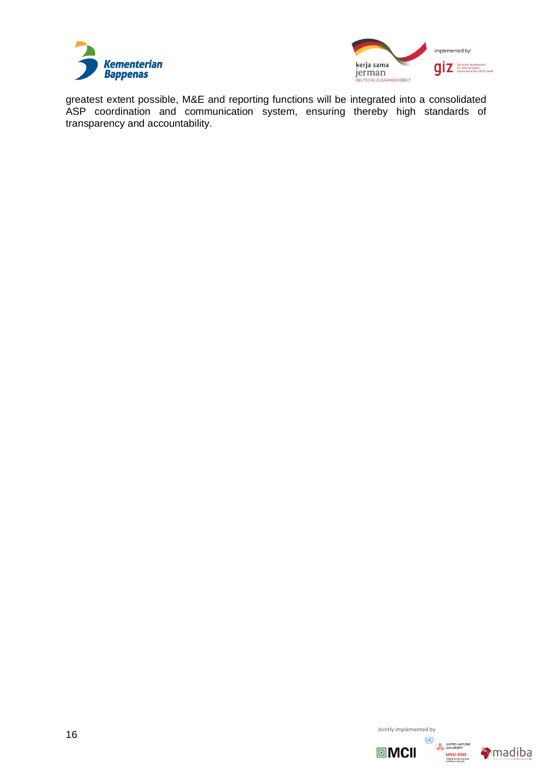



greatest extent possible, M&E and reporting functions will be integrated into a consolidated ASP coordination and communication system, ensuring thereby high standards of transparency and accountability.

 $16$  Jointly implemented by





UNITED NATIONS<br>UNIVERSITY<br>**UNU-EHS**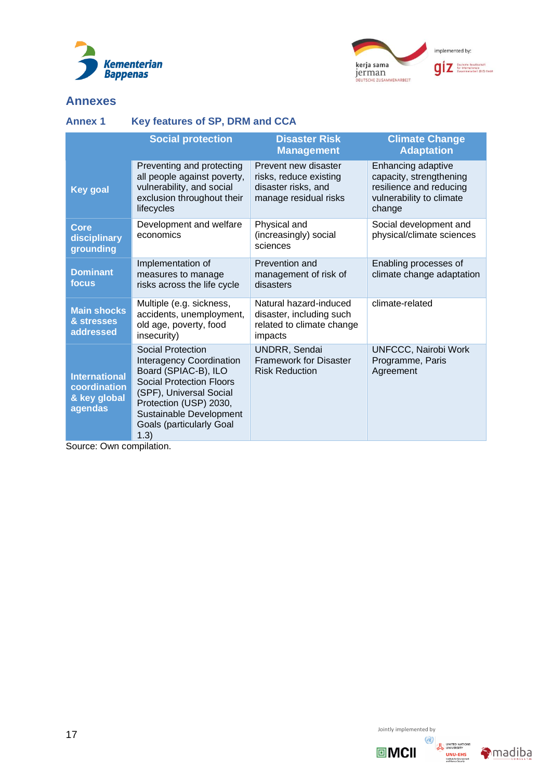



## **Annexes**

## <span id="page-17-0"></span>**Annex 1 Key features of SP, DRM and CCA**

|                                                                 | <b>Social protection</b>                                                                                                                                                                                                                   | <b>Disaster Risk</b><br><b>Management</b>                                                      | <b>Climate Change</b><br><b>Adaptation</b>                                                                     |
|-----------------------------------------------------------------|--------------------------------------------------------------------------------------------------------------------------------------------------------------------------------------------------------------------------------------------|------------------------------------------------------------------------------------------------|----------------------------------------------------------------------------------------------------------------|
| <b>Key goal</b>                                                 | Preventing and protecting<br>all people against poverty,<br>vulnerability, and social<br>exclusion throughout their<br>lifecycles                                                                                                          | Prevent new disaster<br>risks, reduce existing<br>disaster risks, and<br>manage residual risks | Enhancing adaptive<br>capacity, strengthening<br>resilience and reducing<br>vulnerability to climate<br>change |
| Core<br>disciplinary<br>grounding                               | Development and welfare<br>economics                                                                                                                                                                                                       | Physical and<br>(increasingly) social<br>sciences                                              | Social development and<br>physical/climate sciences                                                            |
| <b>Dominant</b><br>focus                                        | Implementation of<br>measures to manage<br>risks across the life cycle                                                                                                                                                                     | Prevention and<br>management of risk of<br>disasters                                           | Enabling processes of<br>climate change adaptation                                                             |
| <b>Main shocks</b><br>& stresses<br>addressed                   | Multiple (e.g. sickness,<br>accidents, unemployment,<br>old age, poverty, food<br>insecurity)                                                                                                                                              | Natural hazard-induced<br>disaster, including such<br>related to climate change<br>impacts     | climate-related                                                                                                |
| <b>International</b><br>coordination<br>& key global<br>agendas | Social Protection<br><b>Interagency Coordination</b><br>Board (SPIAC-B), ILO<br><b>Social Protection Floors</b><br>(SPF), Universal Social<br>Protection (USP) 2030,<br>Sustainable Development<br><b>Goals (particularly Goal</b><br>1.3) | <b>UNDRR, Sendai</b><br><b>Framework for Disaster</b><br><b>Risk Reduction</b>                 | <b>UNFCCC, Nairobi Work</b><br>Programme, Paris<br>Agreement                                                   |

Source: Own compilation.

 $17$  Jointly implemented by





UNITED NATIONS<br>
UNU-EHS<br>
Hastade for Environment<br>
and Haman Security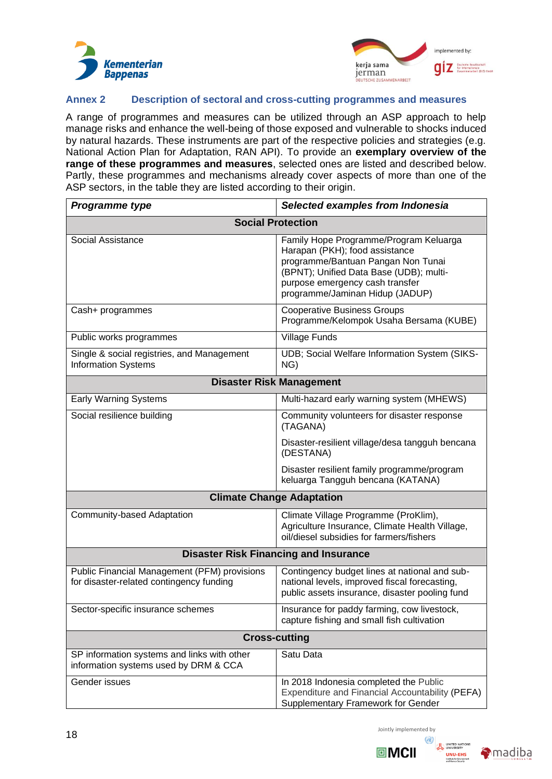



## <span id="page-18-0"></span>**Annex 2 Description of sectoral and cross-cutting programmes and measures**

A range of programmes and measures can be utilized through an ASP approach to help manage risks and enhance the well-being of those exposed and vulnerable to shocks induced by natural hazards. These instruments are part of the respective policies and strategies (e.g. National Action Plan for Adaptation, RAN API). To provide an **exemplary overview of the range of these programmes and measures**, selected ones are listed and described below. Partly, these programmes and mechanisms already cover aspects of more than one of the ASP sectors, in the table they are listed according to their origin.

| Programme type                                                                                  | Selected examples from Indonesia                                                                                                                                                                                                |  |  |  |  |
|-------------------------------------------------------------------------------------------------|---------------------------------------------------------------------------------------------------------------------------------------------------------------------------------------------------------------------------------|--|--|--|--|
| <b>Social Protection</b>                                                                        |                                                                                                                                                                                                                                 |  |  |  |  |
| Social Assistance                                                                               | Family Hope Programme/Program Keluarga<br>Harapan (PKH); food assistance<br>programme/Bantuan Pangan Non Tunai<br>(BPNT); Unified Data Base (UDB); multi-<br>purpose emergency cash transfer<br>programme/Jaminan Hidup (JADUP) |  |  |  |  |
| Cash+ programmes                                                                                | <b>Cooperative Business Groups</b><br>Programme/Kelompok Usaha Bersama (KUBE)                                                                                                                                                   |  |  |  |  |
| Public works programmes                                                                         | <b>Village Funds</b>                                                                                                                                                                                                            |  |  |  |  |
| Single & social registries, and Management<br><b>Information Systems</b>                        | UDB; Social Welfare Information System (SIKS-<br>NG)                                                                                                                                                                            |  |  |  |  |
|                                                                                                 | <b>Disaster Risk Management</b>                                                                                                                                                                                                 |  |  |  |  |
| <b>Early Warning Systems</b>                                                                    | Multi-hazard early warning system (MHEWS)                                                                                                                                                                                       |  |  |  |  |
| Social resilience building                                                                      | Community volunteers for disaster response<br>(TAGANA)                                                                                                                                                                          |  |  |  |  |
|                                                                                                 | Disaster-resilient village/desa tangguh bencana<br>(DESTANA)                                                                                                                                                                    |  |  |  |  |
|                                                                                                 | Disaster resilient family programme/program<br>keluarga Tangguh bencana (KATANA)                                                                                                                                                |  |  |  |  |
| <b>Climate Change Adaptation</b>                                                                |                                                                                                                                                                                                                                 |  |  |  |  |
| Community-based Adaptation                                                                      | Climate Village Programme (ProKlim),<br>Agriculture Insurance, Climate Health Village,<br>oil/diesel subsidies for farmers/fishers                                                                                              |  |  |  |  |
| <b>Disaster Risk Financing and Insurance</b>                                                    |                                                                                                                                                                                                                                 |  |  |  |  |
| <b>Public Financial Management (PFM) provisions</b><br>for disaster-related contingency funding | Contingency budget lines at national and sub-<br>national levels, improved fiscal forecasting,<br>public assets insurance, disaster pooling fund                                                                                |  |  |  |  |
| Sector-specific insurance schemes                                                               | Insurance for paddy farming, cow livestock,<br>capture fishing and small fish cultivation                                                                                                                                       |  |  |  |  |
| <b>Cross-cutting</b>                                                                            |                                                                                                                                                                                                                                 |  |  |  |  |
| SP information systems and links with other<br>information systems used by DRM & CCA            | Satu Data                                                                                                                                                                                                                       |  |  |  |  |
| Gender issues                                                                                   | In 2018 Indonesia completed the Public<br>Expenditure and Financial Accountability (PEFA)<br>Supplementary Framework for Gender                                                                                                 |  |  |  |  |



 $\Box$ MCII

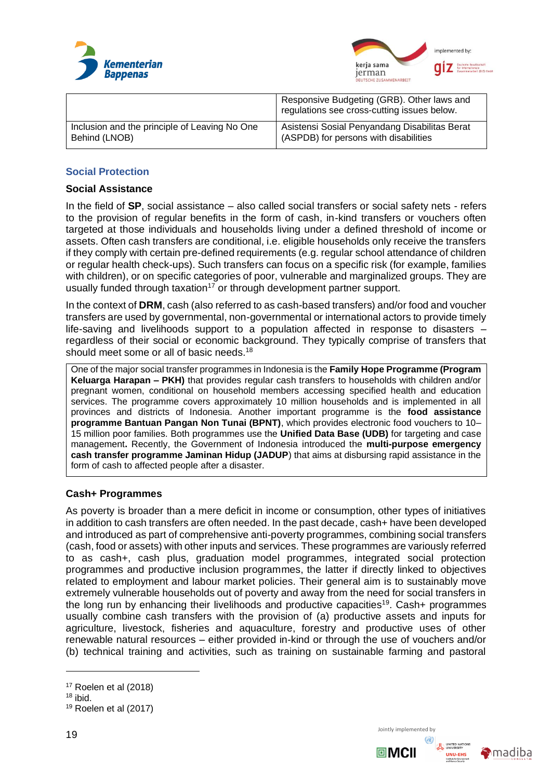



|                                               | Responsive Budgeting (GRB). Other laws and<br>regulations see cross-cutting issues below. |
|-----------------------------------------------|-------------------------------------------------------------------------------------------|
| Inclusion and the principle of Leaving No One | Asistensi Sosial Penyandang Disabilitas Berat                                             |
| Behind (LNOB)                                 | (ASPDB) for persons with disabilities                                                     |

## **Social Protection**

## **Social Assistance**

In the field of **SP**, social assistance – also called social transfers or social safety nets - refers to the provision of regular benefits in the form of cash, in-kind transfers or vouchers often targeted at those individuals and households living under a defined threshold of income or assets. Often cash transfers are conditional, i.e. eligible households only receive the transfers if they comply with certain pre-defined requirements (e.g. regular school attendance of children or regular health check-ups). Such transfers can focus on a specific risk (for example, families with children), or on specific categories of poor, vulnerable and marginalized groups. They are usually funded through taxation<sup>17</sup> or through development partner support.

In the context of **DRM**, cash (also referred to as cash-based transfers) and/or food and voucher transfers are used by governmental, non-governmental or international actors to provide timely life-saving and livelihoods support to a population affected in response to disasters – regardless of their social or economic background. They typically comprise of transfers that should meet some or all of basic needs.<sup>18</sup>

One of the major social transfer programmes in Indonesia is the **Family Hope Programme (Program Keluarga Harapan – PKH)** that provides regular cash transfers to households with children and/or pregnant women, conditional on household members accessing specified health and education services. The programme covers approximately 10 million households and is implemented in all provinces and districts of Indonesia. Another important programme is the **food assistance programme Bantuan Pangan Non Tunai (BPNT)**, which provides electronic food vouchers to 10– 15 million poor families. Both programmes use the **Unified Data Base (UDB)** for targeting and case management**.** Recently, the Government of Indonesia introduced the **multi-purpose emergency cash transfer programme Jaminan Hidup (JADUP**) that aims at disbursing rapid assistance in the form of cash to affected people after a disaster.

## **Cash+ Programmes**

As poverty is broader than a mere deficit in income or consumption, other types of initiatives in addition to cash transfers are often needed. In the past decade, cash+ have been developed and introduced as part of comprehensive anti-poverty programmes, combining social transfers (cash, food or assets) with other inputs and services. These programmes are variously referred to as cash+, cash plus, graduation model programmes, integrated social protection programmes and productive inclusion programmes, the latter if directly linked to objectives related to employment and labour market policies. Their general aim is to sustainably move extremely vulnerable households out of poverty and away from the need for social transfers in the long run by enhancing their livelihoods and productive capacities<sup>19</sup>. Cash+ programmes usually combine cash transfers with the provision of (a) productive assets and inputs for agriculture, livestock, fisheries and aquaculture, forestry and productive uses of other renewable natural resources – either provided in-kind or through the use of vouchers and/or (b) technical training and activities, such as training on sustainable farming and pastoral





<sup>17</sup> Roelen et al (2018)

<sup>18</sup> ibid.

<sup>19</sup> Roelen et al (2017)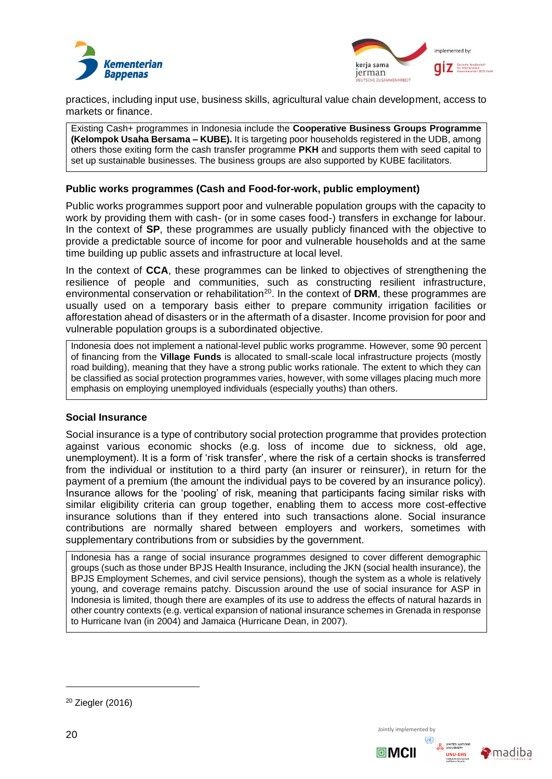



practices, including input use, business skills, agricultural value chain development, access to markets or finance.

Existing Cash+ programmes in Indonesia include the **Cooperative Business Groups Programme (Kelompok Usaha Bersama – KUBE).** It is targeting poor households registered in the UDB, among others those exiting form the cash transfer programme **PKH** and supports them with seed capital to set up sustainable businesses. The business groups are also supported by KUBE facilitators.

## **Public works programmes (Cash and Food-for-work, public employment)**

Public works programmes support poor and vulnerable population groups with the capacity to work by providing them with cash- (or in some cases food-) transfers in exchange for labour. In the context of **SP**, these programmes are usually publicly financed with the objective to provide a predictable source of income for poor and vulnerable households and at the same time building up public assets and infrastructure at local level.

In the context of **CCA**, these programmes can be linked to objectives of strengthening the resilience of people and communities, such as constructing resilient infrastructure, environmental conservation or rehabilitation<sup>20</sup>. In the context of DRM, these programmes are usually used on a temporary basis either to prepare community irrigation facilities or afforestation ahead of disasters or in the aftermath of a disaster. Income provision for poor and vulnerable population groups is a subordinated objective.

Indonesia does not implement a national-level public works programme. However, some 90 percent of financing from the **Village Funds** is allocated to small-scale local infrastructure projects (mostly road building), meaning that they have a strong public works rationale. The extent to which they can be classified as social protection programmes varies, however, with some villages placing much more emphasis on employing unemployed individuals (especially youths) than others.

## **Social Insurance**

Social insurance is a type of contributory social protection programme that provides protection against various economic shocks (e.g. loss of income due to sickness, old age, unemployment). It is a form of 'risk transfer', where the risk of a certain shocks is transferred from the individual or institution to a third party (an insurer or reinsurer), in return for the payment of a premium (the amount the individual pays to be covered by an insurance policy). Insurance allows for the 'pooling' of risk, meaning that participants facing similar risks with similar eligibility criteria can group together, enabling them to access more cost-effective insurance solutions than if they entered into such transactions alone. Social insurance contributions are normally shared between employers and workers, sometimes with supplementary contributions from or subsidies by the government.

Indonesia has a range of social insurance programmes designed to cover different demographic groups (such as those under BPJS Health Insurance, including the JKN (social health insurance), the BPJS Employment Schemes, and civil service pensions), though the system as a whole is relatively young, and coverage remains patchy. Discussion around the use of social insurance for ASP in Indonesia is limited, though there are examples of its use to address the effects of natural hazards in other country contexts (e.g. vertical expansion of national insurance schemes in Grenada in response to Hurricane Ivan (in 2004) and Jamaica (Hurricane Dean, in 2007).

 $20$  Ziegler (2016)



回MCII

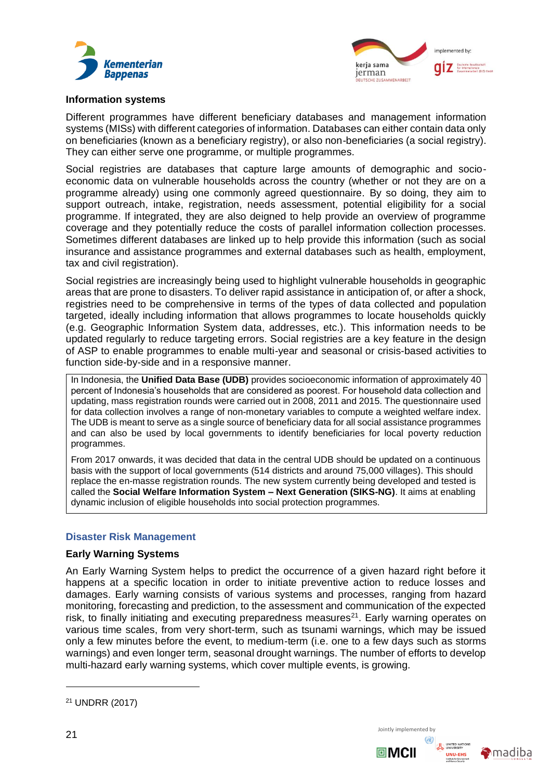



#### **Information systems**

Different programmes have different beneficiary databases and management information systems (MISs) with different categories of information. Databases can either contain data only on beneficiaries (known as a beneficiary registry), or also non-beneficiaries (a social registry). They can either serve one programme, or multiple programmes.

Social registries are databases that capture large amounts of demographic and socioeconomic data on vulnerable households across the country (whether or not they are on a programme already) using one commonly agreed questionnaire. By so doing, they aim to support outreach, intake, registration, needs assessment, potential eligibility for a social programme. If integrated, they are also deigned to help provide an overview of programme coverage and they potentially reduce the costs of parallel information collection processes. Sometimes different databases are linked up to help provide this information (such as social insurance and assistance programmes and external databases such as health, employment, tax and civil registration).

Social registries are increasingly being used to highlight vulnerable households in geographic areas that are prone to disasters. To deliver rapid assistance in anticipation of, or after a shock, registries need to be comprehensive in terms of the types of data collected and population targeted, ideally including information that allows programmes to locate households quickly (e.g. Geographic Information System data, addresses, etc.). This information needs to be updated regularly to reduce targeting errors. Social registries are a key feature in the design of ASP to enable programmes to enable multi-year and seasonal or crisis-based activities to function side-by-side and in a responsive manner.

In Indonesia, the **Unified Data Base (UDB)** provides socioeconomic information of approximately 40 percent of Indonesia's households that are considered as poorest. For household data collection and updating, mass registration rounds were carried out in 2008, 2011 and 2015. The questionnaire used for data collection involves a range of non-monetary variables to compute a weighted welfare index. The UDB is meant to serve as a single source of beneficiary data for all social assistance programmes and can also be used by local governments to identify beneficiaries for local poverty reduction programmes.

From 2017 onwards, it was decided that data in the central UDB should be updated on a continuous basis with the support of local governments (514 districts and around 75,000 villages). This should replace the en-masse registration rounds. The new system currently being developed and tested is called the **Social Welfare Information System – Next Generation (SIKS-NG)**. It aims at enabling dynamic inclusion of eligible households into social protection programmes.

## **Disaster Risk Management**

## **Early Warning Systems**

An Early Warning System helps to predict the occurrence of a given hazard right before it happens at a specific location in order to initiate preventive action to reduce losses and damages. Early warning consists of various systems and processes, ranging from hazard monitoring, forecasting and prediction, to the assessment and communication of the expected risk, to finally initiating and executing preparedness measures<sup>21</sup>. Early warning operates on various time scales, from very short-term, such as tsunami warnings, which may be issued only a few minutes before the event, to medium-term (i.e. one to a few days such as storms warnings) and even longer term, seasonal drought warnings. The number of efforts to develop multi-hazard early warning systems, which cover multiple events, is growing.

<sup>21</sup> UNDRR (2017)



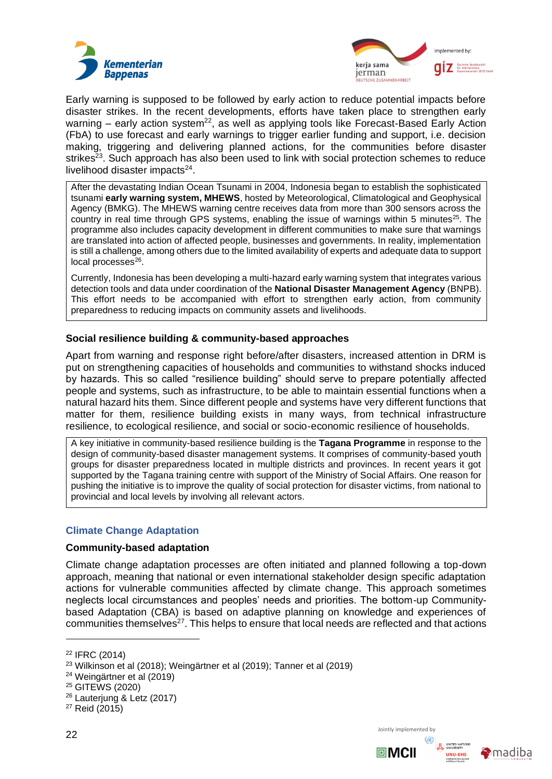



Early warning is supposed to be followed by early action to reduce potential impacts before disaster strikes. In the recent developments, efforts have taken place to strengthen early warning – early action system<sup>22</sup>, as well as applying tools like Forecast-Based Early Action (FbA) to use forecast and early warnings to trigger earlier funding and support, i.e. decision making, triggering and delivering planned actions, for the communities before disaster strikes<sup>23</sup>. Such approach has also been used to link with social protection schemes to reduce livelihood disaster impacts<sup>24</sup>.

After the devastating Indian Ocean Tsunami in 2004, Indonesia began to establish the sophisticated tsunami **early warning system, MHEWS**, hosted by Meteorological, Climatological and Geophysical Agency (BMKG). The MHEWS warning centre receives data from more than 300 sensors across the country in real time through GPS systems, enabling the issue of warnings within 5 minutes<sup>25</sup>. The programme also includes capacity development in different communities to make sure that warnings are translated into action of affected people, businesses and governments. In reality, implementation is still a challenge, among others due to the limited availability of experts and adequate data to support local processes<sup>26</sup>.

Currently, Indonesia has been developing a multi-hazard early warning system that integrates various detection tools and data under coordination of the **National Disaster Management Agency** (BNPB). This effort needs to be accompanied with effort to strengthen early action, from community preparedness to reducing impacts on community assets and livelihoods.

## **Social resilience building & community-based approaches**

Apart from warning and response right before/after disasters, increased attention in DRM is put on strengthening capacities of households and communities to withstand shocks induced by hazards. This so called "resilience building" should serve to prepare potentially affected people and systems, such as infrastructure, to be able to maintain essential functions when a natural hazard hits them. Since different people and systems have very different functions that matter for them, resilience building exists in many ways, from technical infrastructure resilience, to ecological resilience, and social or socio-economic resilience of households.

A key initiative in community-based resilience building is the **Tagana Programme** in response to the design of community-based disaster management systems. It comprises of community-based youth groups for disaster preparedness located in multiple districts and provinces. In recent years it got supported by the Tagana training centre with support of the Ministry of Social Affairs. One reason for pushing the initiative is to improve the quality of social protection for disaster victims, from national to provincial and local levels by involving all relevant actors.

## **Climate Change Adaptation**

#### **Community-based adaptation**

Climate change adaptation processes are often initiated and planned following a top-down approach, meaning that national or even international stakeholder design specific adaptation actions for vulnerable communities affected by climate change. This approach sometimes neglects local circumstances and peoples' needs and priorities. The bottom-up Communitybased Adaptation (CBA) is based on adaptive planning on knowledge and experiences of communities themselves<sup>27</sup>. This helps to ensure that local needs are reflected and that actions



<sup>22</sup> IFRC (2014)

<sup>23</sup> Wilkinson et al (2018); Weingärtner et al (2019); Tanner et al (2019)

<sup>24</sup> Weingärtner et al (2019)

<sup>25</sup> GITEWS (2020)

<sup>26</sup> Lauterjung & Letz (2017)

<sup>27</sup> Reid (2015)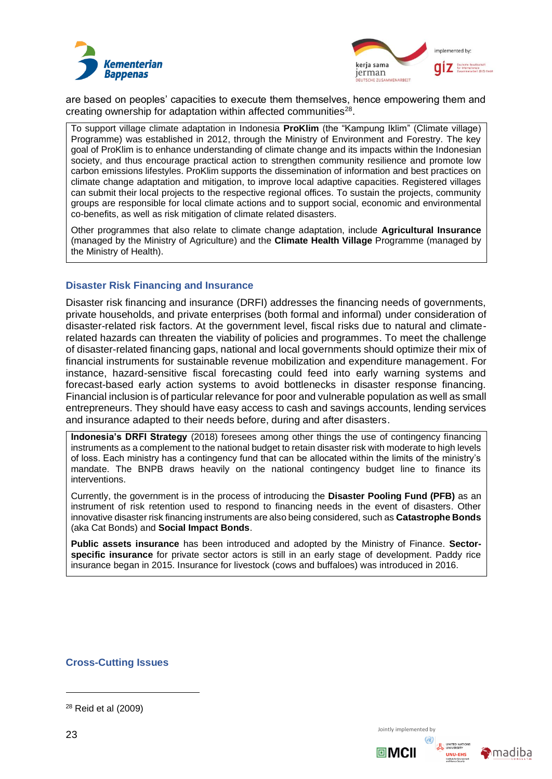



are based on peoples' capacities to execute them themselves, hence empowering them and creating ownership for adaptation within affected communities<sup>28</sup>.

To support village climate adaptation in Indonesia **ProKlim** (the "Kampung Iklim" (Climate village) Programme) was established in 2012, through the Ministry of Environment and Forestry. The key goal of ProKlim is to enhance understanding of climate change and its impacts within the Indonesian society, and thus encourage practical action to strengthen community resilience and promote low carbon emissions lifestyles. ProKlim supports the dissemination of information and best practices on climate change adaptation and mitigation, to improve local adaptive capacities. Registered villages can submit their local projects to the respective regional offices. To sustain the projects, community groups are responsible for local climate actions and to support social, economic and environmental co-benefits, as well as risk mitigation of climate related disasters.

Other programmes that also relate to climate change adaptation, include **Agricultural Insurance** (managed by the Ministry of Agriculture) and the **Climate Health Village** Programme (managed by the Ministry of Health).

## **Disaster Risk Financing and Insurance**

Disaster risk financing and insurance (DRFI) addresses the financing needs of governments, private households, and private enterprises (both formal and informal) under consideration of disaster-related risk factors. At the government level, fiscal risks due to natural and climaterelated hazards can threaten the viability of policies and programmes. To meet the challenge of disaster-related financing gaps, national and local governments should optimize their mix of financial instruments for sustainable revenue mobilization and expenditure management. For instance, hazard-sensitive fiscal forecasting could feed into early warning systems and forecast-based early action systems to avoid bottlenecks in disaster response financing. Financial inclusion is of particular relevance for poor and vulnerable population as well as small entrepreneurs. They should have easy access to cash and savings accounts, lending services and insurance adapted to their needs before, during and after disasters.

**Indonesia's DRFI Strategy** (2018) foresees among other things the use of contingency financing instruments as a complement to the national budget to retain disaster risk with moderate to high levels of loss. Each ministry has a contingency fund that can be allocated within the limits of the ministry's mandate. The BNPB draws heavily on the national contingency budget line to finance its interventions.

Currently, the government is in the process of introducing the **Disaster Pooling Fund (PFB)** as an instrument of risk retention used to respond to financing needs in the event of disasters. Other innovative disaster risk financing instruments are also being considered, such as **Catastrophe Bonds** (aka Cat Bonds) and **Social Impact Bonds**.

**Public assets insurance** has been introduced and adopted by the Ministry of Finance. **Sectorspecific insurance** for private sector actors is still in an early stage of development. Paddy rice insurance began in 2015. Insurance for livestock (cows and buffaloes) was introduced in 2016.

## **Cross-Cutting Issues**



回MCII



<sup>28</sup> Reid et al (2009)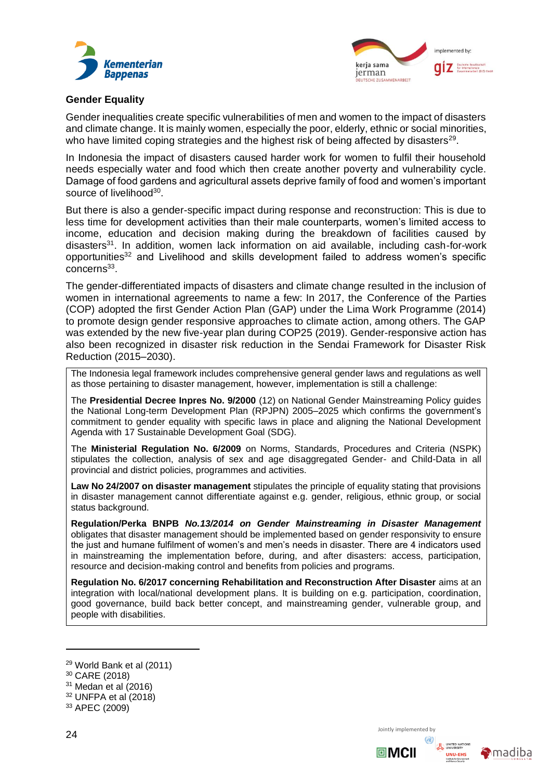



#### **Gender Equality**

Gender inequalities create specific vulnerabilities of men and women to the impact of disasters and climate change. It is mainly women, especially the poor, elderly, ethnic or social minorities, who have limited coping strategies and the highest risk of being affected by disasters<sup>29</sup>.

In Indonesia the impact of disasters caused harder work for women to fulfil their household needs especially water and food which then create another poverty and vulnerability cycle. Damage of food gardens and agricultural assets deprive family of food and women's important source of livelihood<sup>30</sup>.

But there is also a gender-specific impact during response and reconstruction: This is due to less time for development activities than their male counterparts, women's limited access to income, education and decision making during the breakdown of facilities caused by disasters<sup>31</sup>. In addition, women lack information on aid available, including cash-for-work opportunities<sup>32</sup> and Livelihood and skills development failed to address women's specific concerns<sup>33</sup>.

The gender-differentiated impacts of disasters and climate change resulted in the inclusion of women in international agreements to name a few: In 2017, the Conference of the Parties (COP) adopted the first Gender Action Plan (GAP) under the Lima Work Programme (2014) to promote design gender responsive approaches to climate action, among others. The GAP was extended by the new five-year plan during COP25 (2019). Gender-responsive action has also been recognized in disaster risk reduction in the Sendai Framework for Disaster Risk Reduction (2015–2030).

The Indonesia legal framework includes comprehensive general gender laws and regulations as well as those pertaining to disaster management, however, implementation is still a challenge:

The **Presidential Decree Inpres No. 9/2000** (12) on National Gender Mainstreaming Policy guides the National Long-term Development Plan (RPJPN) 2005–2025 which confirms the government's commitment to gender equality with specific laws in place and aligning the National Development Agenda with 17 Sustainable Development Goal (SDG).

The **Ministerial Regulation No. 6/2009** on Norms, Standards, Procedures and Criteria (NSPK) stipulates the collection, analysis of sex and age disaggregated Gender- and Child-Data in all provincial and district policies, programmes and activities.

**Law No 24/2007 on disaster management** stipulates the principle of equality stating that provisions in disaster management cannot differentiate against e.g. gender, religious, ethnic group, or social status background.

**Regulation/Perka BNPB** *No.13/2014 on Gender Mainstreaming in Disaster Management* obligates that disaster management should be implemented based on gender responsivity to ensure the just and humane fulfilment of women's and men's needs in disaster. There are 4 indicators used in mainstreaming the implementation before, during, and after disasters: access, participation, resource and decision-making control and benefits from policies and programs.

**Regulation No. 6/2017 concerning Rehabilitation and Reconstruction After Disaster** aims at an integration with local/national development plans. It is building on e.g. participation, coordination, good governance, build back better concept, and mainstreaming gender, vulnerable group, and people with disabilities.

回MCII



<sup>29</sup> World Bank et al (2011)

<sup>30</sup> CARE (2018)

 $31$  Medan et al (2016)

<sup>32</sup> UNFPA et al (2018)

<sup>33</sup> APEC (2009)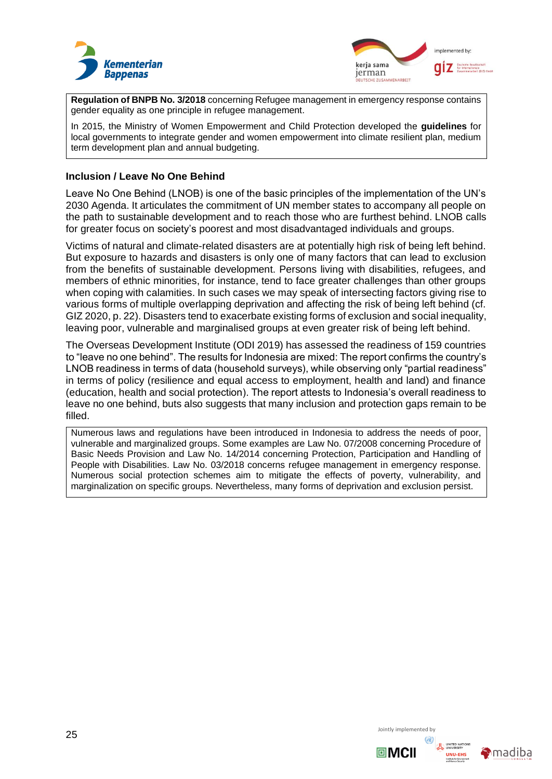



**Regulation of BNPB No. 3/2018** concerning Refugee management in emergency response contains gender equality as one principle in refugee management.

In 2015, the Ministry of Women Empowerment and Child Protection developed the **guidelines** for local governments to integrate gender and women empowerment into climate resilient plan, medium term development plan and annual budgeting.

#### **Inclusion / Leave No One Behind**

Leave No One Behind (LNOB) is one of the basic principles of the implementation of the UN's 2030 Agenda. It articulates the commitment of UN member states to accompany all people on the path to sustainable development and to reach those who are furthest behind. LNOB calls for greater focus on society's poorest and most disadvantaged individuals and groups.

Victims of natural and climate-related disasters are at potentially high risk of being left behind. But exposure to hazards and disasters is only one of many factors that can lead to exclusion from the benefits of sustainable development. Persons living with disabilities, refugees, and members of ethnic minorities, for instance, tend to face greater challenges than other groups when coping with calamities. In such cases we may speak of intersecting factors giving rise to various forms of multiple overlapping deprivation and affecting the risk of being left behind (cf. GIZ 2020, p. 22). Disasters tend to exacerbate existing forms of exclusion and social inequality, leaving poor, vulnerable and marginalised groups at even greater risk of being left behind.

The Overseas Development Institute (ODI 2019) has assessed the readiness of 159 countries to "leave no one behind". The results for Indonesia are mixed: The report confirms the country's LNOB readiness in terms of data (household surveys), while observing only "partial readiness" in terms of policy (resilience and equal access to employment, health and land) and finance (education, health and social protection). The report attests to Indonesia's overall readiness to leave no one behind, buts also suggests that many inclusion and protection gaps remain to be filled.

Numerous laws and regulations have been introduced in Indonesia to address the needs of poor, vulnerable and marginalized groups. Some examples are Law No. 07/2008 concerning Procedure of Basic Needs Provision and Law No. 14/2014 concerning Protection, Participation and Handling of People with Disabilities. Law No. 03/2018 concerns refugee management in emergency response. Numerous social protection schemes aim to mitigate the effects of poverty, vulnerability, and marginalization on specific groups. Nevertheless, many forms of deprivation and exclusion persist.

 $25$  Jointly implemented by



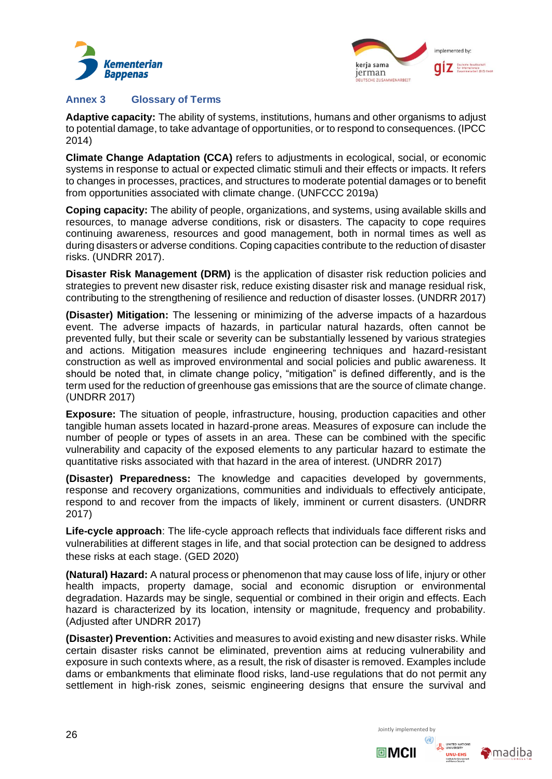



## <span id="page-26-0"></span>**Annex 3 Glossary of Terms**

**Adaptive capacity:** The ability of systems, institutions, humans and other organisms to adjust to potential damage, to take advantage of opportunities, or to respond to consequences. (IPCC 2014)

**Climate Change Adaptation (CCA)** refers to adjustments in ecological, social, or economic systems in response to actual or expected climatic stimuli and their effects or impacts. It refers to changes in processes, practices, and structures to moderate potential damages or to benefit from opportunities associated with climate change. (UNFCCC 2019a)

**Coping capacity:** The ability of people, organizations, and systems, using available skills and resources, to manage adverse conditions, risk or disasters. The capacity to cope requires continuing awareness, resources and good management, both in normal times as well as during disasters or adverse conditions. Coping capacities contribute to the reduction of disaster risks. (UNDRR 2017).

**Disaster Risk Management (DRM)** is the application of disaster risk reduction policies and strategies to prevent new disaster risk, reduce existing disaster risk and manage residual risk, contributing to the strengthening of resilience and reduction of disaster losses. (UNDRR 2017)

**(Disaster) Mitigation:** The lessening or minimizing of the adverse impacts of a hazardous event. The adverse impacts of hazards, in particular natural hazards, often cannot be prevented fully, but their scale or severity can be substantially lessened by various strategies and actions. Mitigation measures include engineering techniques and hazard-resistant construction as well as improved environmental and social policies and public awareness. It should be noted that, in climate change policy, "mitigation" is defined differently, and is the term used for the reduction of greenhouse gas emissions that are the source of climate change. (UNDRR 2017)

**Exposure:** The situation of people, infrastructure, housing, production capacities and other tangible human assets located in hazard-prone areas. Measures of exposure can include the number of people or types of assets in an area. These can be combined with the specific vulnerability and capacity of the exposed elements to any particular hazard to estimate the quantitative risks associated with that hazard in the area of interest. (UNDRR 2017)

**(Disaster) Preparedness:** The knowledge and capacities developed by governments, response and recovery organizations, communities and individuals to effectively anticipate, respond to and recover from the impacts of likely, imminent or current disasters. (UNDRR 2017)

**Life-cycle approach**: The life-cycle approach reflects that individuals face different risks and vulnerabilities at different stages in life, and that social protection can be designed to address these risks at each stage. (GED 2020)

**(Natural) Hazard:** A natural process or phenomenon that may cause loss of life, injury or other health impacts, property damage, social and economic disruption or environmental degradation. Hazards may be single, sequential or combined in their origin and effects. Each hazard is characterized by its location, intensity or magnitude, frequency and probability. (Adjusted after UNDRR 2017)

**(Disaster) Prevention:** Activities and measures to avoid existing and new disaster risks. While certain disaster risks cannot be eliminated, prevention aims at reducing vulnerability and exposure in such contexts where, as a result, the risk of disaster is removed. Examples include dams or embankments that eliminate flood risks, land-use regulations that do not permit any settlement in high-risk zones, seismic engineering designs that ensure the survival and



 $\blacksquare$ MCII

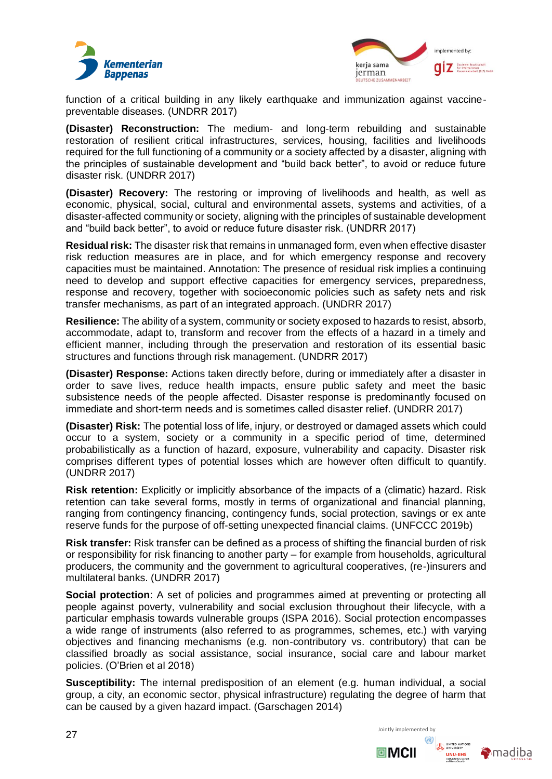



function of a critical building in any likely earthquake and immunization against vaccinepreventable diseases. (UNDRR 2017)

**(Disaster) Reconstruction:** The medium- and long-term rebuilding and sustainable restoration of resilient critical infrastructures, services, housing, facilities and livelihoods required for the full functioning of a community or a society affected by a disaster, aligning with the principles of sustainable development and "build back better", to avoid or reduce future disaster risk. (UNDRR 2017)

**(Disaster) Recovery:** The restoring or improving of livelihoods and health, as well as economic, physical, social, cultural and environmental assets, systems and activities, of a disaster-affected community or society, aligning with the principles of sustainable development and "build back better", to avoid or reduce future disaster risk. (UNDRR 2017)

**Residual risk:** The disaster risk that remains in unmanaged form, even when effective disaster risk reduction measures are in place, and for which emergency response and recovery capacities must be maintained. Annotation: The presence of residual risk implies a continuing need to develop and support effective capacities for emergency services, preparedness, response and recovery, together with socioeconomic policies such as safety nets and risk transfer mechanisms, as part of an integrated approach. (UNDRR 2017)

**Resilience:** The ability of a system, community or society exposed to hazards to resist, absorb, accommodate, adapt to, transform and recover from the effects of a hazard in a timely and efficient manner, including through the preservation and restoration of its essential basic structures and functions through risk management. (UNDRR 2017)

**(Disaster) Response:** Actions taken directly before, during or immediately after a disaster in order to save lives, reduce health impacts, ensure public safety and meet the basic subsistence needs of the people affected. Disaster response is predominantly focused on immediate and short-term needs and is sometimes called disaster relief. (UNDRR 2017)

**(Disaster) Risk:** The potential loss of life, injury, or destroyed or damaged assets which could occur to a system, society or a community in a specific period of time, determined probabilistically as a function of hazard, exposure, vulnerability and capacity. Disaster risk comprises different types of potential losses which are however often difficult to quantify. (UNDRR 2017)

**Risk retention:** Explicitly or implicitly absorbance of the impacts of a (climatic) hazard. Risk retention can take several forms, mostly in terms of organizational and financial planning, ranging from contingency financing, contingency funds, social protection, savings or ex ante reserve funds for the purpose of off-setting unexpected financial claims. (UNFCCC 2019b)

**Risk transfer:** Risk transfer can be defined as a process of shifting the financial burden of risk or responsibility for risk financing to another party – for example from households, agricultural producers, the community and the government to agricultural cooperatives, (re-)insurers and multilateral banks. (UNDRR 2017)

**Social protection**: A set of policies and programmes aimed at preventing or protecting all people against poverty, vulnerability and social exclusion throughout their lifecycle, with a particular emphasis towards vulnerable groups (ISPA 2016). Social protection encompasses a wide range of instruments (also referred to as programmes, schemes, etc.) with varying objectives and financing mechanisms (e.g. non-contributory vs. contributory) that can be classified broadly as social assistance, social insurance, social care and labour market policies. (O'Brien et al 2018)

**Susceptibility:** The internal predisposition of an element (e.g. human individual, a social group, a city, an economic sector, physical infrastructure) regulating the degree of harm that can be caused by a given hazard impact. (Garschagen 2014)



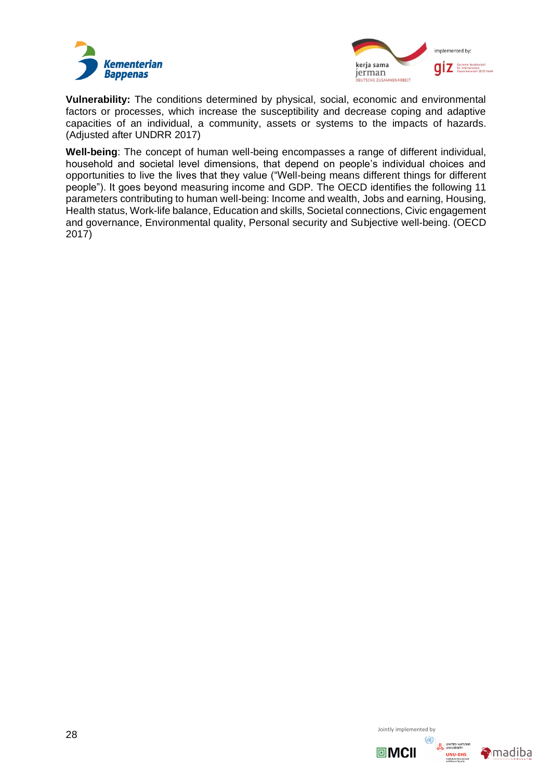



**Vulnerability:** The conditions determined by physical, social, economic and environmental factors or processes, which increase the susceptibility and decrease coping and adaptive capacities of an individual, a community, assets or systems to the impacts of hazards. (Adjusted after UNDRR 2017)

**Well-being**: The concept of human well-being encompasses a range of different individual, household and societal level dimensions, that depend on people's individual choices and opportunities to live the lives that they value ("Well-being means different things for different people"). It goes beyond measuring income and GDP. The OECD identifies the following 11 parameters contributing to human well-being: Income and wealth, Jobs and earning, Housing, Health status, Work-life balance, Education and skills, Societal connections, Civic engagement and governance, Environmental quality, Personal security and Subjective well-being. (OECD 2017)

 $28$  Jointly implemented by



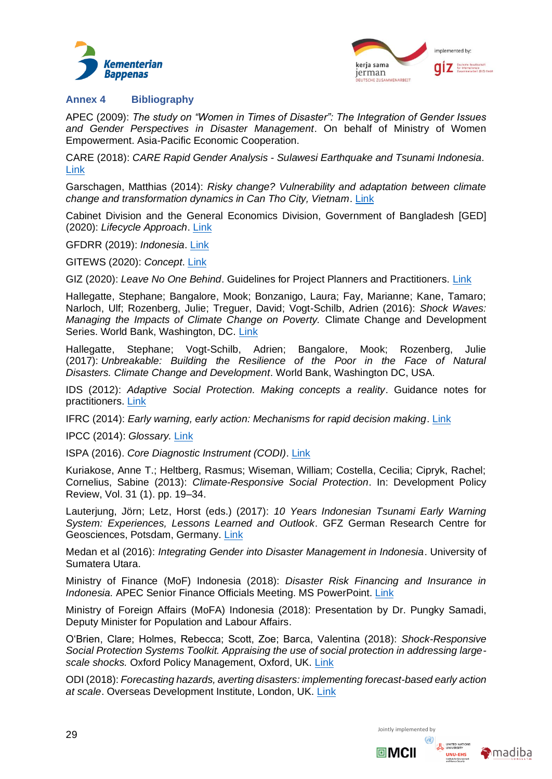



## <span id="page-29-0"></span>**Annex 4 Bibliography**

APEC (2009): *The study on "Women in Times of Disaster": The Integration of Gender Issues and Gender Perspectives in Disaster Management*. On behalf of Ministry of Women Empowerment. Asia-Pacific Economic Cooperation.

CARE (2018): *CARE Rapid Gender Analysis - Sulawesi Earthquake and Tsunami Indonesia.* [Link](https://reliefweb.int/sites/reliefweb.int/files/resources/CARE%20RGA_Indonesia%20Sulawesi%20%20Earthquake%20Tsunami_31%20Oct%202018.pdf)

Garschagen, Matthias (2014): *Risky change? Vulnerability and adaptation between climate change and transformation dynamics in Can Tho City, Vietnam*[. Link](https://collections.unu.edu/view/UNU:2878)

Cabinet Division and the General Economics Division, Government of Bangladesh [GED] (2020): *Lifecycle Approach*. [Link](http://socialprotection.gov.bd/blog-post/lifecycle-approach/)

GFDRR (2019): *Indonesia*. [Link](https://www.gfdrr.org/en/indonesia)

GITEWS (2020): *Concept*. [Link](https://www.gitews.org/en/concept/)

GIZ (2020): *Leave No One Behind*. Guidelines for Project Planners and Practitioners. [Link](https://www.poverty-inequality.com/leave-no-one-behind-guidelines-for-project-planners-and-practitioners-2/)

Hallegatte, Stephane; Bangalore, Mook; Bonzanigo, Laura; Fay, Marianne; Kane, Tamaro; Narloch, Ulf; Rozenberg, Julie; Treguer, David; Vogt-Schilb, Adrien (2016): *Shock Waves: Managing the Impacts of Climate Change on Poverty.* Climate Change and Development Series. World Bank, Washington, DC. [Link](https://openknowledge.worldbank.org/bitstream/handle/10986/22787/9781464806735.pdf)

Hallegatte, Stephane; Vogt-Schilb, Adrien; Bangalore, Mook; Rozenberg, Julie (2017): *Unbreakable: Building the Resilience of the Poor in the Face of Natural Disasters. Climate Change and Development*. World Bank, Washington DC, USA.

IDS (2012): *Adaptive Social Protection. Making concepts a reality*. Guidance notes for practitioners. [Link](http://www.ids.ac.uk/files/dmfile/ASPGuidanceNotes_FINAL.pdf)

IFRC (2014): *Early warning, early action: Mechanisms for rapid decision making*. [Link](https://reliefweb.int/sites/reliefweb.int/files/resources/Early%20Warning%20Early%20Action%20Report%20Final%20-%20July%202014.pdf)

IPCC (2014): *Glossary.* [Link](https://www.ipcc.ch/report/sr15/glossary/)

ISPA (2016). *Core Diagnostic Instrument (CODI)*. [Link](https://ispatools.org/core-diagnostic-instrument/)

Kuriakose, Anne T.; Heltberg, Rasmus; Wiseman, William; Costella, Cecilia; Cipryk, Rachel; Cornelius, Sabine (2013): *Climate-Responsive Social Protection*. In: Development Policy Review, Vol. 31 (1). pp. 19–34.

Lauterjung, Jörn; Letz, Horst (eds.) (2017): *10 Years Indonesian Tsunami Early Warning System: Experiences, Lessons Learned and Outlook*. GFZ German Research Centre for Geosciences, Potsdam, Germany. [Link](https://gfzpublic.gfz-potsdam.de/rest/items/item_2431901_13/component/file_2469889/content)

Medan et al (2016): *Integrating Gender into Disaster Management in Indonesia*. University of Sumatera Utara.

Ministry of Finance (MoF) Indonesia (2018): *Disaster Risk Financing and Insurance in Indonesia.* APEC Senior Finance Officials Meeting. MS PowerPoint. [Link](https://www.google.com/url?sa=t&rct=j&q=&esrc=s&source=web&cd=3&cad=rja&uact=8&ved=2ahUKEwjY6YO-4ZLnAhUDzKQKHYxGCU0QFjACegQIBRAB&url=http%3A%2F%2Fmddb.apec.org%2FDocuments%2F2018%2FFMP%2FSFOM16%2F18_sfom16_013.pdf&usg=AOvVaw31WE8ylVlr1gyXtwPS6N-R)

Ministry of Foreign Affairs (MoFA) Indonesia (2018): Presentation by Dr. Pungky Samadi, Deputy Minister for Population and Labour Affairs.

O'Brien, Clare; Holmes, Rebecca; Scott, Zoe; Barca, Valentina (2018): *Shock-Responsive Social Protection Systems Toolkit. Appraising the use of social protection in addressing largescale shocks.* Oxford Policy Management, Oxford, UK. [Link](https://www.opml.co.uk/files/Publications/a0408-shock-responsive-social-protection-systems/srsp-toolkit.pdf?noredirect=1)

ODI (2018): *Forecasting hazards, averting disasters: implementing forecast-based early action at scale*. Overseas Development Institute, London, UK. [Link](https://www.odi.org/publications/11069-forecasting-hazards-averting-disasters-implementing-forecast-based-early-action-scale)



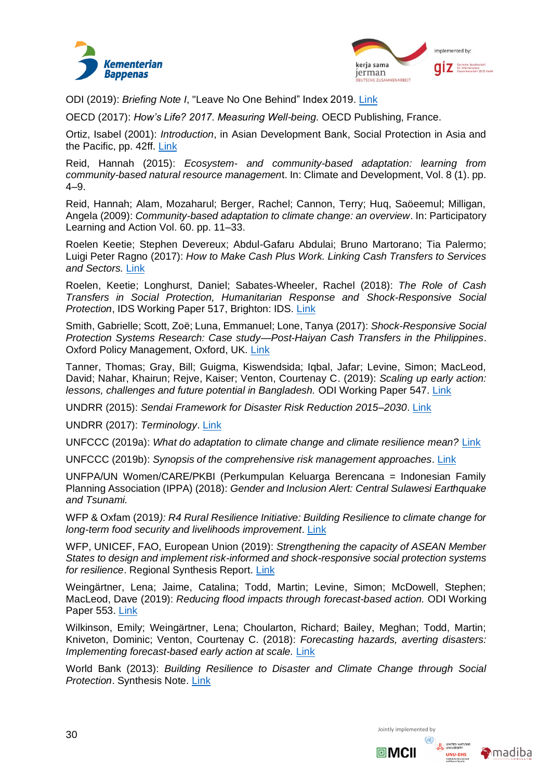



ODI (2019): *Briefing Note I*, "Leave No One Behind" Index 2019. [Link](https://www.odi.org/publications/11441-leave-no-one-behind-index-2019)

OECD (2017): *How's Life? 2017. Measuring Well-being.* OECD Publishing, France.

Ortiz, Isabel (2001): *Introduction*, in Asian Development Bank, Social Protection in Asia and the Pacific, pp. 42ff. [Link](https://papers.ssrn.com/sol3/papers.cfm?abstract_id=991887)

Reid, Hannah (2015): *Ecosystem- and community-based adaptation: learning from community-based natural resource managemen*t. In: Climate and Development, Vol. 8 (1). pp. 4–9.

Reid, Hannah; Alam, Mozaharul; Berger, Rachel; Cannon, Terry; Huq, Saöeemul; Milligan, Angela (2009): *Community-based adaptation to climate change: an overview*. In: Participatory Learning and Action Vol. 60. pp. 11–33.

Roelen Keetie; Stephen Devereux; Abdul-Gafaru Abdulai; Bruno Martorano; Tia Palermo; Luigi Peter Ragno (2017): *How to Make Cash Plus Work. Linking Cash Transfers to Services and Sectors.* [Link](https://www.unicef-irc.org/publications/pdf/IDS%20WP%20CORRECTED%20Sept%202017.pdf)

Roelen, Keetie; Longhurst, Daniel; Sabates-Wheeler, Rachel (2018): *The Role of Cash Transfers in Social Protection, Humanitarian Response and Shock-Responsive Social Protection*, IDS Working Paper 517, Brighton: IDS. [Link](https://www.ids.ac.uk/publications/the-role-of-cash-transfers-in-social-protection-humanitarian-response-and-shock-responsive-social-protection/)

Smith, Gabrielle; Scott, Zoë; Luna, Emmanuel; Lone, Tanya (2017): *Shock-Responsive Social Protection Systems Research: Case study—Post-Haiyan Cash Transfers in the Philippines*. Oxford Policy Management, Oxford, UK. [Link](https://www.opml.co.uk/files/Publications/a0408-shock-responsive-social-protection-systems/opm-case-study-2017-srsp-philippines.pdf?noredirect=1)

Tanner, Thomas; Gray, Bill; Guigma, Kiswendsida; Iqbal, Jafar; Levine, Simon; MacLeod, David; Nahar, Khairun; Rejve, Kaiser; Venton, Courtenay C. (2019): *Scaling up early action: lessons, challenges and future potential in Bangladesh.* ODI Working Paper 547. [Link](https://www.odi.org/sites/odi.org.uk/files/resource-documents/12641.pdf)

UNDRR (2015): *Sendai Framework for Disaster Risk Reduction 2015–2030*. [Link](https://www.preventionweb.net/files/43291_sendaiframeworkfordrren.pdf)

UNDRR (2017): *Terminology*. [Link](https://www.unisdr.org/we/inform/terminology)

UNFCCC (2019a): *What do adaptation to climate change and climate resilience mean?* [Link](https://unfccc.int/topics/adaptation-and-resilience/the-big-picture/what-do-adaptation-to-climate-change-and-climate-resilience-mean)

UNFCCC (2019b): *Synopsis of the comprehensive risk management approaches*. [Link](https://www.google.com/url?sa=t&rct=j&q=&esrc=s&source=web&cd=3&cad=rja&uact=8&ved=2ahUKEwi9gYqX15LnAhWJKewKHWZfDbMQFjACegQIAxAB&url=https%3A%2F%2Funfccc.int%2Fsites%2Fdefault%2Ffiles%2Fresource%2FSummary_CRM.pdf&usg=AOvVaw3wS4dWNf4NIzmrBp72hyfB)

UNFPA/UN Women/CARE/PKBI (Perkumpulan Keluarga Berencana = Indonesian Family Planning Association (IPPA) (2018): *Gender and Inclusion Alert: Central Sulawesi Earthquake and Tsunami.*

WFP & Oxfam (2019*): R4 Rural Resilience Initiative: Building Resilience to climate change for long-term food security and livelihoods improvement*. [Link](https://docs.wfp.org/api/documents/WFP-0000019963/download/?_ga=2.2535667.2130537611.1586870162-311192656.1586870162)

WFP, UNICEF, FAO, European Union (2019): *Strengthening the capacity of ASEAN Member States to design and implement risk-informed and shock-responsive social protection systems for resilience*. Regional Synthesis Report. [Link](https://www.opml.co.uk/files/Publications/a2475-asean-member-states/asean-synthesis-report-final-june2019.pdf?noredirect=1)

Weingärtner, Lena; Jaime, Catalina; Todd, Martin; Levine, Simon; McDowell, Stephen; MacLeod, Dave (2019): *Reducing flood impacts through forecast-based action.* ODI Working Paper 553. [Link](https://www.odi.org/sites/odi.org.uk/files/resource-documents/12645.pdf)

Wilkinson, Emily; Weingärtner, Lena; Choularton, Richard; Bailey, Meghan; Todd, Martin; Kniveton, Dominic; Venton, Courtenay C. (2018): *Forecasting hazards, averting disasters: Implementing forecast-based early action at scale.* [Link](https://www.odi.org/sites/odi.org.uk/files/resource-documents/12104.pdf)

World Bank (2013): *Building Resilience to Disaster and Climate Change through Social Protection*. Synthesis Note. [Link](http://documents1.worldbank.org/curated/en/187211468349778714/pdf/796210WP0Build0Box0377381B00PUBLIC0.pdf)